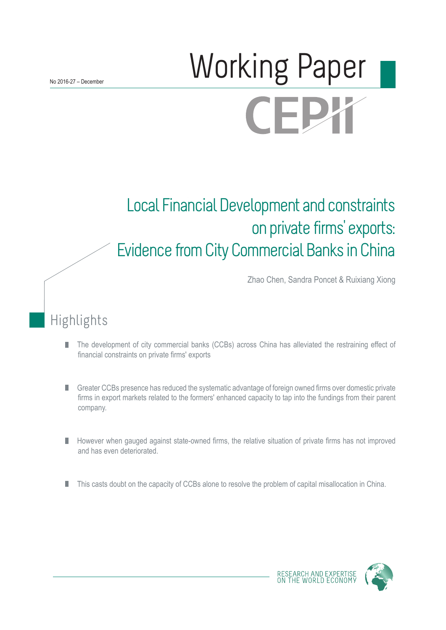# Working Paper CEPX

# Local Financial Development and constraints on private firms' exports: Evidence from City Commercial Banks in China

Zhao Chen, Sandra Poncet & Ruixiang Xiong

# Highlights

- The development of city commercial banks (CCBs) across China has alleviated the restraining effect of П financial constraints on private firms' exports
- Greater CCBs presence has reduced the systematic advantage of foreign owned firms over domestic private firms in export markets related to the formers' enhanced capacity to tap into the fundings from their parent company.
- However when gauged against state-owned firms, the relative situation of private firms has not improved and has even deteriorated.
- This casts doubt on the capacity of CCBs alone to resolve the problem of capital misallocation in China. П



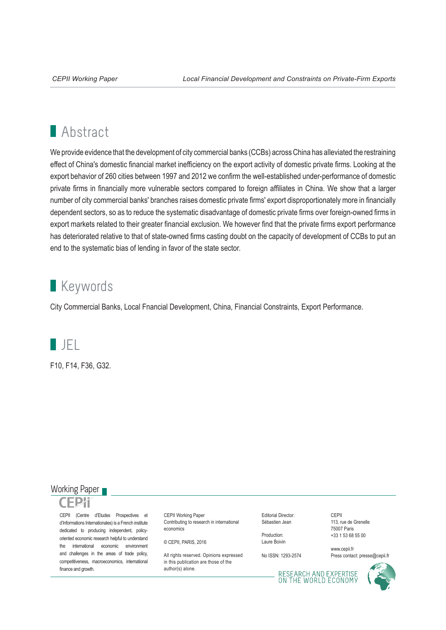# **Abstract**

We provide evidence that the development of city commercial banks (CCBs) across China has alleviated the restraining effect of China's domestic financial market inefficiency on the export activity of domestic private firms. Looking at the export behavior of 260 cities between 1997 and 2012 we confirm the well-established under-performance of domestic private firms in financially more vulnerable sectors compared to foreign affiliates in China. We show that a larger number of city commercial banks' branches raises domestic private firms' export disproportionately more in financially dependent sectors, so as to reduce the systematic disadvantage of domestic private firms over foreign-owned firms in export markets related to their greater financial exclusion. We however find that the private firms export performance has deteriorated relative to that of state-owned firms casting doubt on the capacity of development of CCBs to put an end to the systematic bias of lending in favor of the state sector.

## **Keywords**

City Commercial Banks, Local Fnancial Development, China, Financial Constraints, Export Performance.



F10, F14, F36, G32.

#### Working Paper



CEPII (Centre d'Etudes Prospectives et d'Informations Internationales) is a French institute dedicated to producing independent, policyoriented economic research helpful to understand the international economic environment and challenges in the areas of trade policy, competitiveness, macroeconomics, international finance and growth.

CEPII Working Paper Contributing to research in international economics

© CEPII, PARIS, 2016

All rights reserved. Opinions expressed. in this publication are those of the author(s) alone.

Editorial Director: Sébastien Jean

Production: Laure Boivin

No ISSN: 1293-2574

CEPII 113, rue de Grenelle 75007 Paris +33 1 53 68 55 00

www.cepii.fr Press contact: presse@cepii.fr

RESEARCH AND EXPERTISE<br>ON THE WORLD ECONOMY

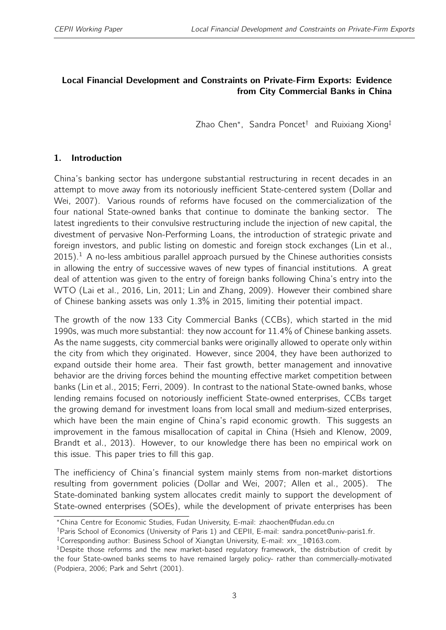#### <span id="page-2-0"></span>Local Financial Development and Constraints on Private-Firm Exports: Evidence from City Commercial Banks in China

Zhao Chen<sup>∗</sup> , Sandra Poncet† and Ruixiang Xiong‡

#### 1. Introduction

China's banking sector has undergone substantial restructuring in recent decades in an attempt to move away from its notoriously inefficient State-centered system (Dollar and Wei, 2007). Various rounds of reforms have focused on the commercialization of the four national State-owned banks that continue to dominate the banking sector. The latest ingredients to their convulsive restructuring include the injection of new capital, the divestment of pervasive Non-Performing Loans, the introduction of strategic private and foreign investors, and public listing on domestic and foreign stock exchanges (Lin et al.,  $2015$ ).<sup>1</sup> A no-less ambitious parallel approach pursued by the Chinese authorities consists in allowing the entry of successive waves of new types of financial institutions. A great deal of attention was given to the entry of foreign banks following China's entry into the WTO (Lai et al., 2016, Lin, 2011; Lin and Zhang, 2009). However their combined share of Chinese banking assets was only 1.3% in 2015, limiting their potential impact.

The growth of the now 133 City Commercial Banks (CCBs), which started in the mid 1990s, was much more substantial: they now account for 11.4% of Chinese banking assets. As the name suggests, city commercial banks were originally allowed to operate only within the city from which they originated. However, since 2004, they have been authorized to expand outside their home area. Their fast growth, better management and innovative behavior are the driving forces behind the mounting effective market competition between banks (Lin et al., 2015; Ferri, 2009). In contrast to the national State-owned banks, whose lending remains focused on notoriously inefficient State-owned enterprises, CCBs target the growing demand for investment loans from local small and medium-sized enterprises, which have been the main engine of China's rapid economic growth. This suggests an improvement in the famous misallocation of capital in China (Hsieh and Klenow, 2009, Brandt et al., 2013). However, to our knowledge there has been no empirical work on this issue. This paper tries to fill this gap.

The inefficiency of China's financial system mainly stems from non-market distortions resulting from government policies (Dollar and Wei, 2007; Allen et al., 2005). The State-dominated banking system allocates credit mainly to support the development of State-owned enterprises (SOEs), while the development of private enterprises has been

<sup>∗</sup>China Centre for Economic Studies, Fudan University, E-mail: zhaochen@fudan.edu.cn

<sup>†</sup>Paris School of Economics (University of Paris 1) and CEPII, E-mail: sandra.poncet@univ-paris1.fr.

<sup>‡</sup>Corresponding author: Business School of Xiangtan University, E-mail: xrx\_1@163.com.

<sup>&</sup>lt;sup>1</sup>Despite those reforms and the new market-based regulatory framework, the distribution of credit by the four State-owned banks seems to have remained largely policy- rather than commercially-motivated (Podpiera, 2006; Park and Sehrt (2001).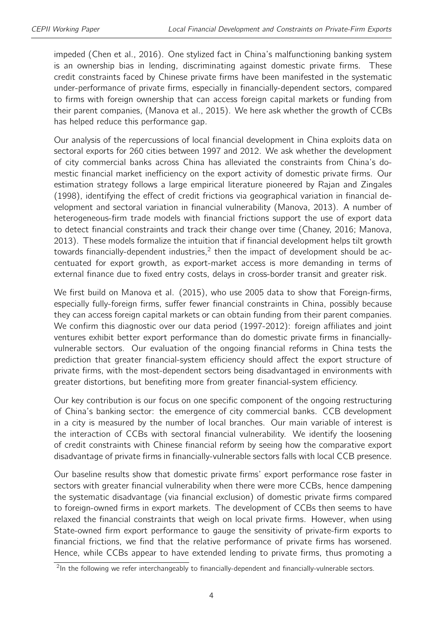impeded (Chen et al., 2016). One stylized fact in China's malfunctioning banking system is an ownership bias in lending, discriminating against domestic private firms. These credit constraints faced by Chinese private firms have been manifested in the systematic under-performance of private firms, especially in financially-dependent sectors, compared to firms with foreign ownership that can access foreign capital markets or funding from their parent companies, (Manova et al., 2015). We here ask whether the growth of CCBs has helped reduce this performance gap.

Our analysis of the repercussions of local financial development in China exploits data on sectoral exports for 260 cities between 1997 and 2012. We ask whether the development of city commercial banks across China has alleviated the constraints from China's domestic financial market inefficiency on the export activity of domestic private firms. Our estimation strategy follows a large empirical literature pioneered by Rajan and Zingales (1998), identifying the effect of credit frictions via geographical variation in financial development and sectoral variation in financial vulnerability (Manova, 2013). A number of heterogeneous-firm trade models with financial frictions support the use of export data to detect financial constraints and track their change over time (Chaney, 2016; Manova, 2013). These models formalize the intuition that if financial development helps tilt growth towards financially-dependent industries, $2$  then the impact of development should be accentuated for export growth, as export-market access is more demanding in terms of external finance due to fixed entry costs, delays in cross-border transit and greater risk.

We first build on Manova et al. (2015), who use 2005 data to show that Foreign-firms, especially fully-foreign firms, suffer fewer financial constraints in China, possibly because they can access foreign capital markets or can obtain funding from their parent companies. We confirm this diagnostic over our data period (1997-2012): foreign affiliates and joint ventures exhibit better export performance than do domestic private firms in financiallyvulnerable sectors. Our evaluation of the ongoing financial reforms in China tests the prediction that greater financial-system efficiency should affect the export structure of private firms, with the most-dependent sectors being disadvantaged in environments with greater distortions, but benefiting more from greater financial-system efficiency.

Our key contribution is our focus on one specific component of the ongoing restructuring of China's banking sector: the emergence of city commercial banks. CCB development in a city is measured by the number of local branches. Our main variable of interest is the interaction of CCBs with sectoral financial vulnerability. We identify the loosening of credit constraints with Chinese financial reform by seeing how the comparative export disadvantage of private firms in financially-vulnerable sectors falls with local CCB presence.

Our baseline results show that domestic private firms' export performance rose faster in sectors with greater financial vulnerability when there were more CCBs, hence dampening the systematic disadvantage (via financial exclusion) of domestic private firms compared to foreign-owned firms in export markets. The development of CCBs then seems to have relaxed the financial constraints that weigh on local private firms. However, when using State-owned firm export performance to gauge the sensitivity of private-firm exports to financial frictions, we find that the relative performance of private firms has worsened. Hence, while CCBs appear to have extended lending to private firms, thus promoting a

 $2$ In the following we refer interchangeably to financially-dependent and financially-vulnerable sectors.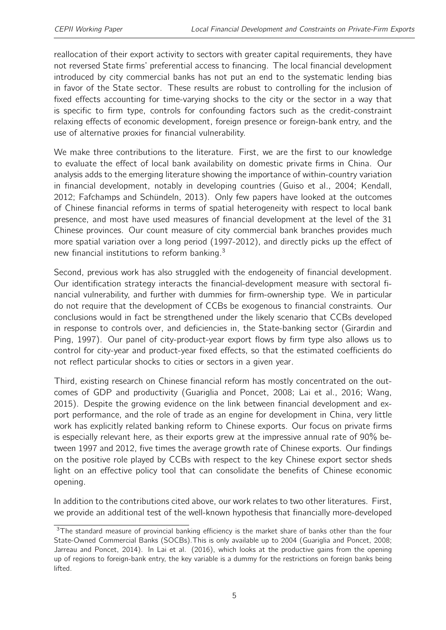reallocation of their export activity to sectors with greater capital requirements, they have not reversed State firms' preferential access to financing. The local financial development introduced by city commercial banks has not put an end to the systematic lending bias in favor of the State sector. These results are robust to controlling for the inclusion of fixed effects accounting for time-varying shocks to the city or the sector in a way that is specific to firm type, controls for confounding factors such as the credit-constraint relaxing effects of economic development, foreign presence or foreign-bank entry, and the use of alternative proxies for financial vulnerability.

We make three contributions to the literature. First, we are the first to our knowledge to evaluate the effect of local bank availability on domestic private firms in China. Our analysis adds to the emerging literature showing the importance of within-country variation in financial development, notably in developing countries (Guiso et al., 2004; Kendall, 2012; Fafchamps and Schündeln, 2013). Only few papers have looked at the outcomes of Chinese financial reforms in terms of spatial heterogeneity with respect to local bank presence, and most have used measures of financial development at the level of the 31 Chinese provinces. Our count measure of city commercial bank branches provides much more spatial variation over a long period (1997-2012), and directly picks up the effect of new financial institutions to reform banking.[3](#page-2-0)

Second, previous work has also struggled with the endogeneity of financial development. Our identification strategy interacts the financial-development measure with sectoral financial vulnerability, and further with dummies for firm-ownership type. We in particular do not require that the development of CCBs be exogenous to financial constraints. Our conclusions would in fact be strengthened under the likely scenario that CCBs developed in response to controls over, and deficiencies in, the State-banking sector (Girardin and Ping, 1997). Our panel of city-product-year export flows by firm type also allows us to control for city-year and product-year fixed effects, so that the estimated coefficients do not reflect particular shocks to cities or sectors in a given year.

Third, existing research on Chinese financial reform has mostly concentrated on the outcomes of GDP and productivity (Guariglia and Poncet, 2008; Lai et al., 2016; Wang, 2015). Despite the growing evidence on the link between financial development and export performance, and the role of trade as an engine for development in China, very little work has explicitly related banking reform to Chinese exports. Our focus on private firms is especially relevant here, as their exports grew at the impressive annual rate of 90% between 1997 and 2012, five times the average growth rate of Chinese exports. Our findings on the positive role played by CCBs with respect to the key Chinese export sector sheds light on an effective policy tool that can consolidate the benefits of Chinese economic opening.

In addition to the contributions cited above, our work relates to two other literatures. First, we provide an additional test of the well-known hypothesis that financially more-developed

<sup>&</sup>lt;sup>3</sup>The standard measure of provincial banking efficiency is the market share of banks other than the four State-Owned Commercial Banks (SOCBs).This is only available up to 2004 (Guariglia and Poncet, 2008; Jarreau and Poncet, 2014). In Lai et al. (2016), which looks at the productive gains from the opening up of regions to foreign-bank entry, the key variable is a dummy for the restrictions on foreign banks being lifted.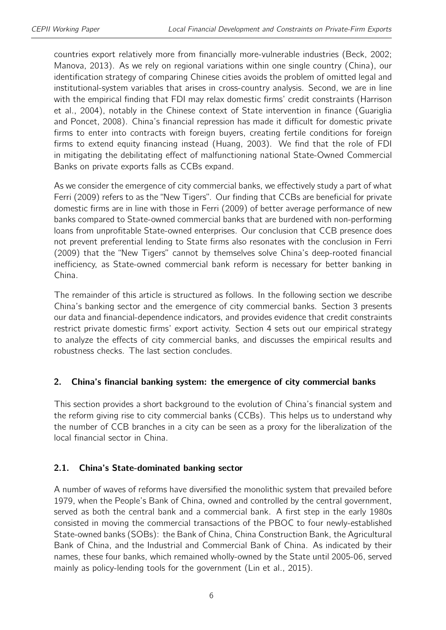countries export relatively more from financially more-vulnerable industries (Beck, 2002; Manova, 2013). As we rely on regional variations within one single country (China), our identification strategy of comparing Chinese cities avoids the problem of omitted legal and institutional-system variables that arises in cross-country analysis. Second, we are in line with the empirical finding that FDI may relax domestic firms' credit constraints (Harrison et al., 2004), notably in the Chinese context of State intervention in finance (Guariglia and Poncet, 2008). China's financial repression has made it difficult for domestic private firms to enter into contracts with foreign buyers, creating fertile conditions for foreign firms to extend equity financing instead (Huang, 2003). We find that the role of FDI in mitigating the debilitating effect of malfunctioning national State-Owned Commercial Banks on private exports falls as CCBs expand.

As we consider the emergence of city commercial banks, we effectively study a part of what Ferri (2009) refers to as the "New Tigers". Our finding that CCBs are beneficial for private domestic firms are in line with those in Ferri (2009) of better average performance of new banks compared to State-owned commercial banks that are burdened with non-performing loans from unprofitable State-owned enterprises. Our conclusion that CCB presence does not prevent preferential lending to State firms also resonates with the conclusion in Ferri (2009) that the "New Tigers" cannot by themselves solve China's deep-rooted financial inefficiency, as State-owned commercial bank reform is necessary for better banking in China.

The remainder of this article is structured as follows. In the following section we describe China's banking sector and the emergence of city commercial banks. Section 3 presents our data and financial-dependence indicators, and provides evidence that credit constraints restrict private domestic firms' export activity. Section 4 sets out our empirical strategy to analyze the effects of city commercial banks, and discusses the empirical results and robustness checks. The last section concludes.

#### 2. China's financial banking system: the emergence of city commercial banks

This section provides a short background to the evolution of China's financial system and the reform giving rise to city commercial banks (CCBs). This helps us to understand why the number of CCB branches in a city can be seen as a proxy for the liberalization of the local financial sector in China.

## 2.1. China's State-dominated banking sector

A number of waves of reforms have diversified the monolithic system that prevailed before 1979, when the People's Bank of China, owned and controlled by the central government, served as both the central bank and a commercial bank. A first step in the early 1980s consisted in moving the commercial transactions of the PBOC to four newly-established State-owned banks (SOBs): the Bank of China, China Construction Bank, the Agricultural Bank of China, and the Industrial and Commercial Bank of China. As indicated by their names, these four banks, which remained wholly-owned by the State until 2005-06, served mainly as policy-lending tools for the government (Lin et al., 2015).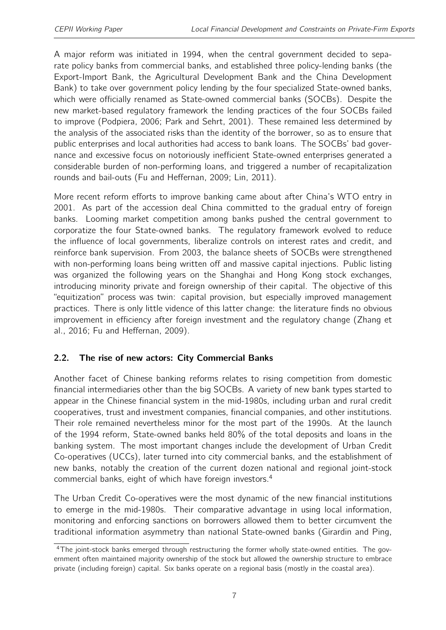A major reform was initiated in 1994, when the central government decided to separate policy banks from commercial banks, and established three policy-lending banks (the Export-Import Bank, the Agricultural Development Bank and the China Development Bank) to take over government policy lending by the four specialized State-owned banks, which were officially renamed as State-owned commercial banks (SOCBs). Despite the new market-based regulatory framework the lending practices of the four SOCBs failed to improve (Podpiera, 2006; Park and Sehrt, 2001). These remained less determined by the analysis of the associated risks than the identity of the borrower, so as to ensure that public enterprises and local authorities had access to bank loans. The SOCBs' bad governance and excessive focus on notoriously inefficient State-owned enterprises generated a considerable burden of non-performing loans, and triggered a number of recapitalization rounds and bail-outs (Fu and Heffernan, 2009; Lin, 2011).

More recent reform efforts to improve banking came about after China's WTO entry in 2001. As part of the accession deal China committed to the gradual entry of foreign banks. Looming market competition among banks pushed the central government to corporatize the four State-owned banks. The regulatory framework evolved to reduce the influence of local governments, liberalize controls on interest rates and credit, and reinforce bank supervision. From 2003, the balance sheets of SOCBs were strengthened with non-performing loans being written off and massive capital injections. Public listing was organized the following years on the Shanghai and Hong Kong stock exchanges, introducing minority private and foreign ownership of their capital. The objective of this "equitization" process was twin: capital provision, but especially improved management practices. There is only little vidence of this latter change: the literature finds no obvious improvement in efficiency after foreign investment and the regulatory change (Zhang et al., 2016; Fu and Heffernan, 2009).

## <span id="page-6-0"></span>2.2. The rise of new actors: City Commercial Banks

Another facet of Chinese banking reforms relates to rising competition from domestic financial intermediaries other than the big SOCBs. A variety of new bank types started to appear in the Chinese financial system in the mid-1980s, including urban and rural credit cooperatives, trust and investment companies, financial companies, and other institutions. Their role remained nevertheless minor for the most part of the 1990s. At the launch of the 1994 reform, State-owned banks held 80% of the total deposits and loans in the banking system. The most important changes include the development of Urban Credit Co-operatives (UCCs), later turned into city commercial banks, and the establishment of new banks, notably the creation of the current dozen national and regional joint-stock commercial banks, eight of which have foreign investors.[4](#page-2-0)

The Urban Credit Co-operatives were the most dynamic of the new financial institutions to emerge in the mid-1980s. Their comparative advantage in using local information, monitoring and enforcing sanctions on borrowers allowed them to better circumvent the traditional information asymmetry than national State-owned banks (Girardin and Ping,

<sup>&</sup>lt;sup>4</sup>The ioint-stock banks emerged through restructuring the former wholly state-owned entities. The government often maintained majority ownership of the stock but allowed the ownership structure to embrace private (including foreign) capital. Six banks operate on a regional basis (mostly in the coastal area).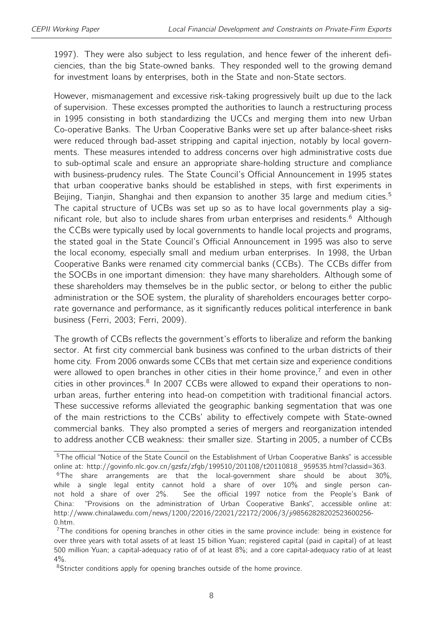1997). They were also subject to less regulation, and hence fewer of the inherent deficiencies, than the big State-owned banks. They responded well to the growing demand for investment loans by enterprises, both in the State and non-State sectors.

However, mismanagement and excessive risk-taking progressively built up due to the lack of supervision. These excesses prompted the authorities to launch a restructuring process in 1995 consisting in both standardizing the UCCs and merging them into new Urban Co-operative Banks. The Urban Cooperative Banks were set up after balance-sheet risks were reduced through bad-asset stripping and capital injection, notably by local governments. These measures intended to address concerns over high administrative costs due to sub-optimal scale and ensure an appropriate share-holding structure and compliance with business-prudency rules. The State Council's Official Announcement in 1995 states that urban cooperative banks should be established in steps, with first experiments in Beijing, Tianjin, Shanghai and then expansion to another 3[5](#page-2-0) large and medium cities.<sup>5</sup> The capital structure of UCBs was set up so as to have local governments play a sig-nificant role, but also to include shares from urban enterprises and residents.<sup>[6](#page-2-0)</sup> Although the CCBs were typically used by local governments to handle local projects and programs, the stated goal in the State Council's Official Announcement in 1995 was also to serve the local economy, especially small and medium urban enterprises. In 1998, the Urban Cooperative Banks were renamed city commercial banks (CCBs). The CCBs differ from the SOCBs in one important dimension: they have many shareholders. Although some of these shareholders may themselves be in the public sector, or belong to either the public administration or the SOE system, the plurality of shareholders encourages better corporate governance and performance, as it significantly reduces political interference in bank business (Ferri, 2003; Ferri, 2009).

The growth of CCBs reflects the government's efforts to liberalize and reform the banking sector. At first city commercial bank business was confined to the urban districts of their home city. From 2006 onwards some CCBs that met certain size and experience conditions were allowed to open branches in other cities in their home province,<sup> $7$ </sup> and even in other cities in other provinces.<sup>[8](#page-2-0)</sup> In 2007 CCBs were allowed to expand their operations to nonurban areas, further entering into head-on competition with traditional financial actors. These successive reforms alleviated the geographic banking segmentation that was one of the main restrictions to the CCBs' ability to effectively compete with State-owned commercial banks. They also prompted a series of mergers and reorganization intended to address another CCB weakness: their smaller size. Starting in 2005, a number of CCBs

<sup>&</sup>lt;sup>5</sup>The official "Notice of the State Council on the Establishment of Urban Cooperative Banks" is accessible online at: http://govinfo.nlc.gov.cn/gzsfz/zfgb/199510/201108/t20110818\_959535.html?classid=363.  $6$ The share arrangements are that the local-government share should be about 30%, while a single legal entity cannot hold a share of over 10% and single person cannot hold a share of over 2%. See the official 1997 notice from the People's Bank of China: "Provisions on the administration of Urban Cooperative Banks", accessible online at: http://www.chinalawedu.com/news/1200/22016/22021/22172/2006/3/ji98562828202523600256- 0.htm.

<sup>&</sup>lt;sup>7</sup>The conditions for opening branches in other cities in the same province include: being in existence for over three years with total assets of at least 15 billion Yuan; registered capital (paid in capital) of at least 500 million Yuan; a capital-adequacy ratio of of at least 8%; and a core capital-adequacy ratio of at least  $4\%$ .

<sup>&</sup>lt;sup>8</sup>Stricter conditions apply for opening branches outside of the home province.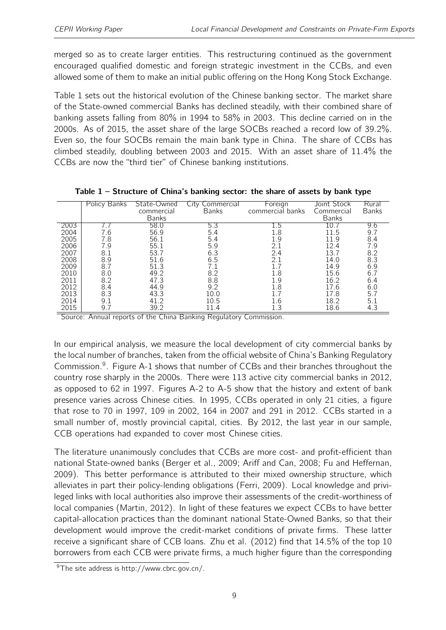merged so as to create larger entities. This restructuring continued as the government encouraged qualified domestic and foreign strategic investment in the CCBs, and even allowed some of them to make an initial public offering on the Hong Kong Stock Exchange.

Table [1](#page-8-0) sets out the historical evolution of the Chinese banking sector. The market share of the State-owned commercial Banks has declined steadily, with their combined share of banking assets falling from 80% in 1994 to 58% in 2003. This decline carried on in the 2000s. As of 2015, the asset share of the large SOCBs reached a record low of 39.2%. Even so, the four SOCBs remain the main bank type in China. The share of CCBs has climbed steadily, doubling between 2003 and 2015. With an asset share of 11.4% the CCBs are now the "third tier" of Chinese banking institutions.

|      | Policy Banks | State-Owned  | <b>City Commercial</b> | Foreign          | Joint Stock  | Rural |
|------|--------------|--------------|------------------------|------------------|--------------|-------|
|      |              | commercial   | <b>Banks</b>           | commercial banks | Commercial   | Banks |
|      |              | <b>Banks</b> |                        |                  | <b>Banks</b> |       |
|      |              |              |                        |                  |              |       |
| 2003 |              | 58.0         | 5.3                    | د. L             | LO.          | 9.6   |
| 2004 | 6.6          | 56.9         | 5.4                    | 1.8              | 11.5         | 9.7   |
| 2005 | 7.8          | 56.1         | 5.4                    | 1.9              | 11.9         | 8.4   |
| 2006 | 7.9          | 55.1         | 5.9                    | 2.1              | 12.4         | 7.9   |
| 2007 | 8.1          | 53.7         | 6.3                    | 2.4              | 13.7         | 8.2   |
| 2008 | 8.9          | 51.6         | 6.5                    | 2.1              | 14.0         | 8.3   |
| 2009 | 8.7          | 51.3         | 7.1                    |                  | 14.9         | 6.9   |
| 2010 | 8.0          | 49.2         | 8.2                    | 1.8              | 15.6         | 6.7   |
| 2011 | 8.2          | 47.3         | 8.8                    | 1.9              | 16.2         | 6.4   |
| 2012 | 8.4          | 44.9         | 9.2                    | 1.8              | 17.6         | 6.0   |
| 2013 | 8.3          | 43.3         | 10.0                   |                  | 17.8         | 5.7   |
| 2014 | 9.1          | 41.2         | 10.5                   | 1.6              | 18.2         | 5.1   |
| 2015 | 9.7          | 39.2         | 11.4                   | 1.3              | 18.6         | 4.3   |

<span id="page-8-0"></span>

| Table 1 – Structure of China's banking sector: the share of assets by bank type |  |
|---------------------------------------------------------------------------------|--|
|---------------------------------------------------------------------------------|--|

Source: Annual reports of the China Banking Regulatory Commission.

In our empirical analysis, we measure the local development of city commercial banks by the local number of branches, taken from the official website of China's Banking Regulatory Commission.<sup>[9](#page-2-0)</sup>. Figure [A-1](#page-25-0) shows that number of CCBs and their branches throughout the country rose sharply in the 2000s. There were 113 active city commercial banks in 2012, as opposed to 62 in 1997. Figures [A-2](#page-26-0) to [A-5](#page-27-0) show that the history and extent of bank presence varies across Chinese cities. In 1995, CCBs operated in only 21 cities, a figure that rose to 70 in 1997, 109 in 2002, 164 in 2007 and 291 in 2012. CCBs started in a small number of, mostly provincial capital, cities. By 2012, the last year in our sample, CCB operations had expanded to cover most Chinese cities.

The literature unanimously concludes that CCBs are more cost- and profit-efficient than national State-owned banks (Berger et al., 2009; Ariff and Can, 2008; Fu and Heffernan, 2009). This better performance is attributed to their mixed ownership structure, which alleviates in part their policy-lending obligations (Ferri, 2009). Local knowledge and privileged links with local authorities also improve their assessments of the credit-worthiness of local companies (Martin, 2012). In light of these features we expect CCBs to have better capital-allocation practices than the dominant national State-Owned Banks, so that their development would improve the credit-market conditions of private firms. These latter receive a significant share of CCB loans. Zhu et al. (2012) find that 14.5% of the top 10 borrowers from each CCB were private firms, a much higher figure than the corresponding

<sup>&</sup>lt;sup>9</sup>The site address is http://www.cbrc.gov.cn/.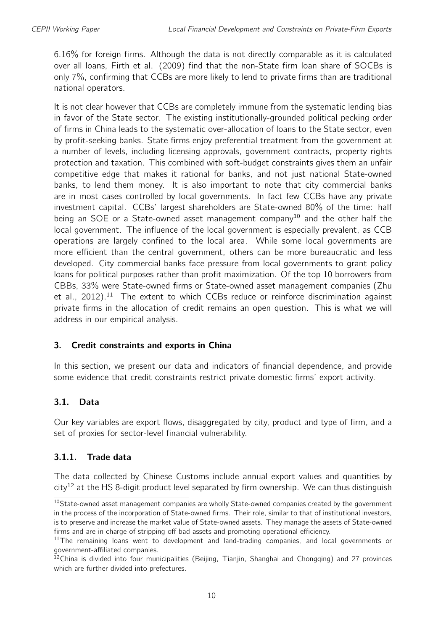6.16% for foreign firms. Although the data is not directly comparable as it is calculated over all loans, Firth et al. (2009) find that the non-State firm loan share of SOCBs is only 7%, confirming that CCBs are more likely to lend to private firms than are traditional national operators.

It is not clear however that CCBs are completely immune from the systematic lending bias in favor of the State sector. The existing institutionally-grounded political pecking order of firms in China leads to the systematic over-allocation of loans to the State sector, even by profit-seeking banks. State firms enjoy preferential treatment from the government at a number of levels, including licensing approvals, government contracts, property rights protection and taxation. This combined with soft-budget constraints gives them an unfair competitive edge that makes it rational for banks, and not just national State-owned banks, to lend them money. It is also important to note that city commercial banks are in most cases controlled by local governments. In fact few CCBs have any private investment capital. CCBs' largest shareholders are State-owned 80% of the time: half being an SOE or a State-owned asset management company<sup>[10](#page-2-0)</sup> and the other half the local government. The influence of the local government is especially prevalent, as CCB operations are largely confined to the local area. While some local governments are more efficient than the central government, others can be more bureaucratic and less developed. City commercial banks face pressure from local governments to grant policy loans for political purposes rather than profit maximization. Of the top 10 borrowers from CBBs, 33% were State-owned firms or State-owned asset management companies (Zhu et al., 2012).<sup>[11](#page-2-0)</sup> The extent to which CCBs reduce or reinforce discrimination against private firms in the allocation of credit remains an open question. This is what we will address in our empirical analysis.

#### 3. Credit constraints and exports in China

In this section, we present our data and indicators of financial dependence, and provide some evidence that credit constraints restrict private domestic firms' export activity.

## 3.1. Data

Our key variables are export flows, disaggregated by city, product and type of firm, and a set of proxies for sector-level financial vulnerability.

## 3.1.1. Trade data

The data collected by Chinese Customs include annual export values and quantities by  $city<sup>12</sup>$  $city<sup>12</sup>$  $city<sup>12</sup>$  at the HS 8-digit product level separated by firm ownership. We can thus distinguish

<sup>&</sup>lt;sup>10</sup>State-owned asset management companies are wholly State-owned companies created by the government in the process of the incorporation of State-owned firms. Their role, similar to that of institutional investors, is to preserve and increase the market value of State-owned assets. They manage the assets of State-owned firms and are in charge of stripping off bad assets and promoting operational efficiency.

<sup>&</sup>lt;sup>11</sup>The remaining loans went to development and land-trading companies, and local governments or government-affiliated companies.

<sup>&</sup>lt;sup>12</sup>China is divided into four municipalities (Beijing, Tianjin, Shanghai and Chongqing) and 27 provinces which are further divided into prefectures.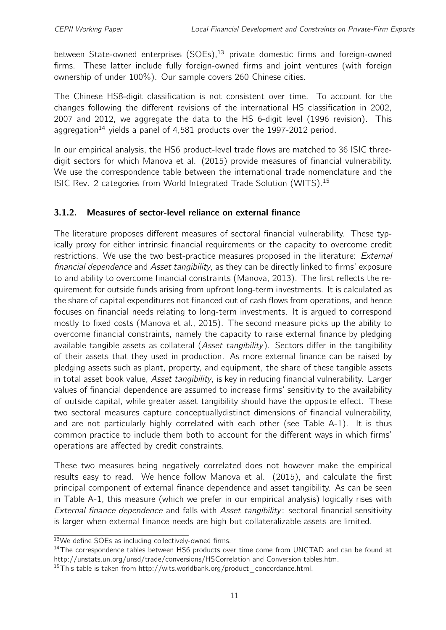between State-owned enterprises  $(SOEs)$ ,<sup>[13](#page-2-0)</sup> private domestic firms and foreign-owned firms. These latter include fully foreign-owned firms and joint ventures (with foreign ownership of under 100%). Our sample covers 260 Chinese cities.

The Chinese HS8-digit classification is not consistent over time. To account for the changes following the different revisions of the international HS classification in 2002, 2007 and 2012, we aggregate the data to the HS 6-digit level (1996 revision). This aggregation<sup>[14](#page-2-0)</sup> yields a panel of 4,581 products over the 1997-2012 period.

In our empirical analysis, the HS6 product-level trade flows are matched to 36 ISIC threedigit sectors for which Manova et al. (2015) provide measures of financial vulnerability. We use the correspondence table between the international trade nomenclature and the ISIC Rev. 2 categories from World Integrated Trade Solution (WITS).[15](#page-2-0)

## 3.1.2. Measures of sector-level reliance on external finance

The literature proposes different measures of sectoral financial vulnerability. These typically proxy for either intrinsic financial requirements or the capacity to overcome credit restrictions. We use the two best-practice measures proposed in the literature: External financial dependence and Asset tangibility, as they can be directly linked to firms' exposure to and ability to overcome financial constraints (Manova, 2013). The first reflects the requirement for outside funds arising from upfront long-term investments. It is calculated as the share of capital expenditures not financed out of cash flows from operations, and hence focuses on financial needs relating to long-term investments. It is argued to correspond mostly to fixed costs (Manova et al., 2015). The second measure picks up the ability to overcome financial constraints, namely the capacity to raise external finance by pledging available tangible assets as collateral (Asset tangibility). Sectors differ in the tangibility of their assets that they used in production. As more external finance can be raised by pledging assets such as plant, property, and equipment, the share of these tangible assets in total asset book value, Asset tangibility, is key in reducing financial vulnerability. Larger values of financial dependence are assumed to increase firms' sensitivity to the availability of outside capital, while greater asset tangibility should have the opposite effect. These two sectoral measures capture conceptuallydistinct dimensions of financial vulnerability, and are not particularly highly correlated with each other (see Table [A-1\)](#page-24-0). It is thus common practice to include them both to account for the different ways in which firms' operations are affected by credit constraints.

These two measures being negatively correlated does not however make the empirical results easy to read. We hence follow Manova et al. (2015), and calculate the first principal component of external finance dependence and asset tangibility. As can be seen in Table [A-1,](#page-24-0) this measure (which we prefer in our empirical analysis) logically rises with External finance dependence and falls with Asset tangibility: sectoral financial sensitivity is larger when external finance needs are high but collateralizable assets are limited.

<sup>13</sup>We define SOEs as including collectively-owned firms.

<sup>&</sup>lt;sup>14</sup>The correspondence tables between HS6 products over time come from UNCTAD and can be found at http://unstats.un.org/unsd/trade/conversions/HSCorrelation and Conversion tables.htm.

<sup>&</sup>lt;sup>15</sup>This table is taken from http://wits.worldbank.org/product\_concordance.html.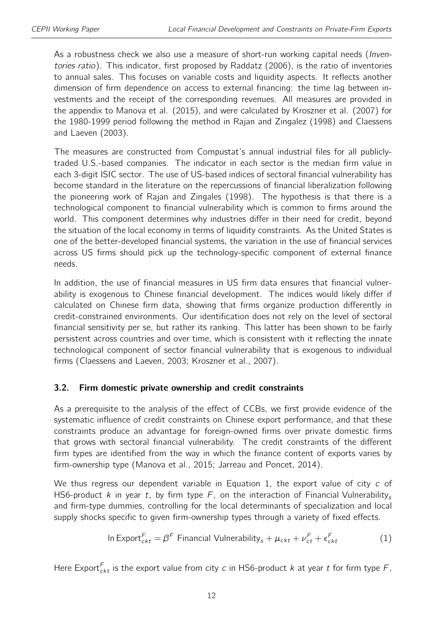As a robustness check we also use a measure of short-run working capital needs (Inventories ratio). This indicator, first proposed by Raddatz (2006), is the ratio of inventories to annual sales. This focuses on variable costs and liquidity aspects. It reflects another dimension of firm dependence on access to external financing: the time lag between investments and the receipt of the corresponding revenues. All measures are provided in the appendix to Manova et al. (2015), and were calculated by Kroszner et al. (2007) for the 1980-1999 period following the method in Rajan and Zingalez (1998) and Claessens and Laeven (2003).

The measures are constructed from Compustat's annual industrial files for all publiclytraded U.S.-based companies. The indicator in each sector is the median firm value in each 3-digit ISIC sector. The use of US-based indices of sectoral financial vulnerability has become standard in the literature on the repercussions of financial liberalization following the pioneering work of Rajan and Zingales (1998). The hypothesis is that there is a technological component to financial vulnerability which is common to firms around the world. This component determines why industries differ in their need for credit, beyond the situation of the local economy in terms of liquidity constraints. As the United States is one of the better-developed financial systems, the variation in the use of financial services across US firms should pick up the technology-specific component of external finance needs.

In addition, the use of financial measures in US firm data ensures that financial vulnerability is exogenous to Chinese financial development. The indices would likely differ if calculated on Chinese firm data, showing that firms organize production differently in credit-constrained environments. Our identification does not rely on the level of sectoral financial sensitivity per se, but rather its ranking. This latter has been shown to be fairly persistent across countries and over time, which is consistent with it reflecting the innate technological component of sector financial vulnerability that is exogenous to individual firms (Claessens and Laeven, 2003; Kroszner et al., 2007).

#### <span id="page-11-1"></span>3.2. Firm domestic private ownership and credit constraints

As a prerequisite to the analysis of the effect of CCBs, we first provide evidence of the systematic influence of credit constraints on Chinese export performance, and that these constraints produce an advantage for foreign-owned firms over private domestic firms that grows with sectoral financial vulnerability. The credit constraints of the different firm types are identified from the way in which the finance content of exports varies by firm-ownership type (Manova et al., 2015; Jarreau and Poncet, 2014).

We thus regress our dependent variable in Equation [1,](#page-11-0) the export value of city c of HS6-product k in year t, by firm type F, on the interaction of Financial Vulnerability. and firm-type dummies, controlling for the local determinants of specialization and local supply shocks specific to given firm-ownership types through a variety of fixed effects.

<span id="page-11-0"></span>In Expert<sub>ckt</sub> = 
$$
\beta^F
$$
 Financial Vulnerability<sub>s</sub> +  $\mu_{ckt} + \nu_{ct}^F + \epsilon_{ckt}^F$  (1)

Here Export $^{\mathcal{F}}_{ckt}$  is the export value from city  $c$  in HS6-product  $k$  at year  $t$  for firm type  $\mathcal{F},$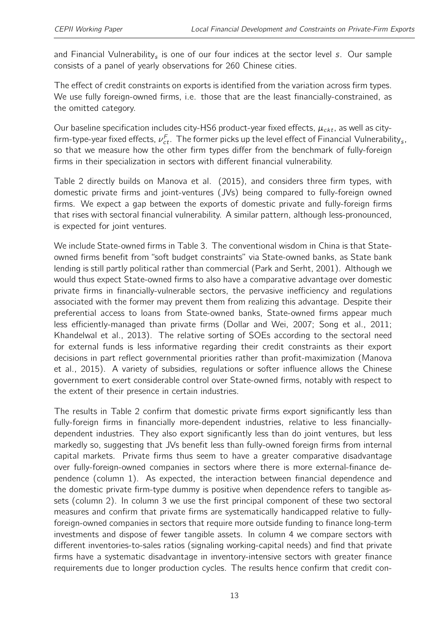and Financial Vulnerability<sub>s</sub> is one of our four indices at the sector level s. Our sample consists of a panel of yearly observations for 260 Chinese cities.

The effect of credit constraints on exports is identified from the variation across firm types. We use fully foreign-owned firms, i.e. those that are the least financially-constrained, as the omitted category.

Our baseline specification includes city-HS6 product-year fixed effects,  $\mu_{ckt}$ , as well as cityfirm-type-year fixed effects,  $\nu_{ct}^F$ . The former picks up the level effect of Financial Vulnerability<sub>s</sub>, so that we measure how the other firm types differ from the benchmark of fully-foreign firms in their specialization in sectors with different financial vulnerability.

Table [2](#page-13-0) directly builds on Manova et al. (2015), and considers three firm types, with domestic private firms and joint-ventures (JVs) being compared to fully-foreign owned firms. We expect a gap between the exports of domestic private and fully-foreign firms that rises with sectoral financial vulnerability. A similar pattern, although less-pronounced, is expected for joint ventures.

We include State-owned firms in Table [3.](#page-14-0) The conventional wisdom in China is that Stateowned firms benefit from "soft budget constraints" via State-owned banks, as State bank lending is still partly political rather than commercial (Park and Serht, 2001). Although we would thus expect State-owned firms to also have a comparative advantage over domestic private firms in financially-vulnerable sectors, the pervasive inefficiency and regulations associated with the former may prevent them from realizing this advantage. Despite their preferential access to loans from State-owned banks, State-owned firms appear much less efficiently-managed than private firms (Dollar and Wei, 2007; Song et al., 2011; Khandelwal et al., 2013). The relative sorting of SOEs according to the sectoral need for external funds is less informative regarding their credit constraints as their export decisions in part reflect governmental priorities rather than profit-maximization (Manova et al., 2015). A variety of subsidies, regulations or softer influence allows the Chinese government to exert considerable control over State-owned firms, notably with respect to the extent of their presence in certain industries.

The results in Table [2](#page-13-0) confirm that domestic private firms export significantly less than fully-foreign firms in financially more-dependent industries, relative to less financiallydependent industries. They also export significantly less than do joint ventures, but less markedly so, suggesting that JVs benefit less than fully-owned foreign firms from internal capital markets. Private firms thus seem to have a greater comparative disadvantage over fully-foreign-owned companies in sectors where there is more external-finance dependence (column 1). As expected, the interaction between financial dependence and the domestic private firm-type dummy is positive when dependence refers to tangible assets (column 2). In column 3 we use the first principal component of these two sectoral measures and confirm that private firms are systematically handicapped relative to fullyforeign-owned companies in sectors that require more outside funding to finance long-term investments and dispose of fewer tangible assets. In column 4 we compare sectors with different inventories-to-sales ratios (signaling working-capital needs) and find that private firms have a systematic disadvantage in inventory-intensive sectors with greater finance requirements due to longer production cycles. The results hence confirm that credit con-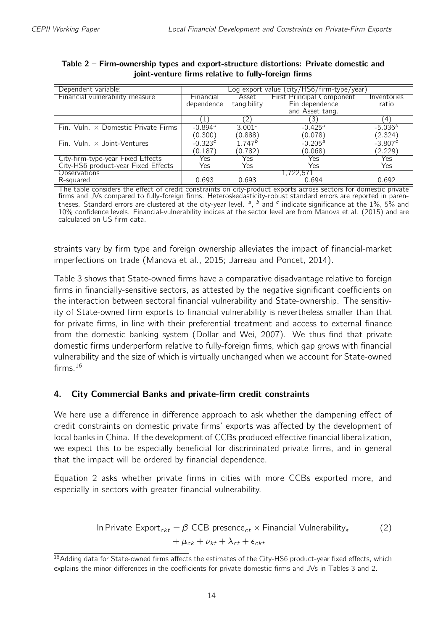| Dependent variable:                        | Log export value (city/HS6/firm-type/year) |                    |                                  |             |  |  |
|--------------------------------------------|--------------------------------------------|--------------------|----------------------------------|-------------|--|--|
| Financial vulnerability measure            | Financial                                  | Asset              | <b>First Principal Component</b> | Inventories |  |  |
|                                            | dependence                                 | tangibility        | Fin dependence                   | ratio       |  |  |
|                                            |                                            |                    | and Asset tang.                  |             |  |  |
|                                            |                                            | 21                 | 3                                | 4           |  |  |
| Fin. Vuln. $\times$ Domestic Private Firms | $-0.894$ <sup>a</sup>                      | 3.001 <sup>a</sup> | $-0.425$ <sup>a</sup>            | $-5.036b$   |  |  |
|                                            | (0.300)                                    | (0.888)            | (0.078)                          | (2.324)     |  |  |
| Fin. Vuln. $\times$ Joint-Ventures         | $-0.323c$                                  | $1.747^{b}$        | $-0.205^{\circ}$                 | $-3.807c$   |  |  |
|                                            | (0.187)                                    | (0.782)            | (0.068)                          | (2.229)     |  |  |
| City-firm-type-year Fixed Effects          | Yes                                        | Yes                | Yes                              | Yes         |  |  |
| City-HS6 product-year Fixed Effects        | Yes                                        | Yes                | Yes                              | Yes         |  |  |
| <b>Observations</b>                        |                                            |                    | 1,722,571                        |             |  |  |
| R-squared                                  | 0.693                                      | 0.693              | 0.694                            | 0.692       |  |  |

#### <span id="page-13-0"></span>Table 2 – Firm-ownership types and export-structure distortions: Private domestic and joint-venture firms relative to fully-foreign firms

The table considers the effect of credit constraints on city-product exports across sectors for domestic private firms and JVs compared to fully-foreign firms. Heteroskedasticity-robust standard errors are reported in parentheses. Standard errors are clustered at the city-year level.  $a$ ,  $b$  and  $c$  indicate significance at the 1%, 5% and 10% confidence levels. Financial-vulnerability indices at the sector level are from Manova et al. (2015) and are calculated on US firm data.

straints vary by firm type and foreign ownership alleviates the impact of financial-market imperfections on trade (Manova et al., 2015; Jarreau and Poncet, 2014).

Table [3](#page-14-0) shows that State-owned firms have a comparative disadvantage relative to foreign firms in financially-sensitive sectors, as attested by the negative significant coefficients on the interaction between sectoral financial vulnerability and State-ownership. The sensitivity of State-owned firm exports to financial vulnerability is nevertheless smaller than that for private firms, in line with their preferential treatment and access to external finance from the domestic banking system (Dollar and Wei, 2007). We thus find that private domestic firms underperform relative to fully-foreign firms, which gap grows with financial vulnerability and the size of which is virtually unchanged when we account for State-owned firms. $16$ 

#### 4. City Commercial Banks and private-firm credit constraints

We here use a difference in difference approach to ask whether the dampening effect of credit constraints on domestic private firms' exports was affected by the development of local banks in China. If the development of CCBs produced effective financial liberalization, we expect this to be especially beneficial for discriminated private firms, and in general that the impact will be ordered by financial dependence.

Equation [2](#page-13-1) asks whether private firms in cities with more CCBs exported more, and especially in sectors with greater financial vulnerability.

<span id="page-13-1"></span>In Private Expert<sub>ckt</sub> = 
$$
\beta
$$
 CCB presence<sub>ct</sub> × Financial Vulnerability<sub>s</sub>   
+  $\mu_{ck} + \nu_{kt} + \lambda_{ct} + \epsilon_{ckt}$  (2)

<sup>&</sup>lt;sup>16</sup> Adding data for State-owned firms affects the estimates of the City-HS6 product-year fixed effects, which explains the minor differences in the coefficients for private domestic firms and JVs in Tables [3](#page-14-0) and [2.](#page-13-0)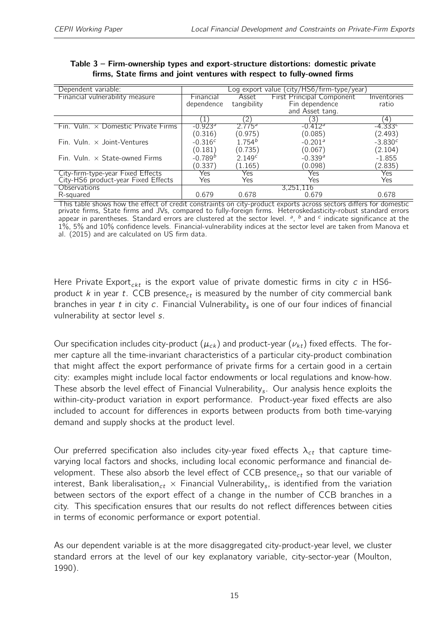| Dependent variable:                        | Log export value (city/HS6/firm-type/year) |                    |                                  |                    |  |  |  |
|--------------------------------------------|--------------------------------------------|--------------------|----------------------------------|--------------------|--|--|--|
| Financial vulnerability measure            | Financial                                  | Asset              | <b>First Principal Component</b> | Inventories        |  |  |  |
|                                            | dependence                                 | tangibility        | Fin dependence                   | ratio              |  |  |  |
|                                            |                                            |                    | and Asset tang.                  |                    |  |  |  |
|                                            |                                            | 2)                 | 3                                | $\left( 4 \right)$ |  |  |  |
| Fin. Vuln. $\times$ Domestic Private Firms | $-0.923$ <sup>a</sup>                      | 2.775 <sup>a</sup> | $-0.412$ <sup>a</sup>            | $-4.333c$          |  |  |  |
|                                            | (0.316)                                    | (0.975)            | (0.085)                          | (2.493)            |  |  |  |
| Fin. Vuln. $\times$ Joint-Ventures         | $-0.316c$                                  | $1.754^{b}$        | $-0.201$ <sup>a</sup>            | $-3.830^{c}$       |  |  |  |
|                                            | (0.181)                                    | (0.735)            | (0.067)                          | (2.104)            |  |  |  |
| Fin. Vuln. $\times$ State-owned Firms      | $-0.789b$                                  | 2.149 <sup>c</sup> | $-0.339a$                        | $-1.855$           |  |  |  |
|                                            | (0.337)                                    | (1.165)            | (0.098)                          | (2.835)            |  |  |  |
| City-firm-type-year Fixed Effects          | Yes                                        | Yes                | Yes                              | Yes                |  |  |  |
| City-HS6 product-year Fixed Effects        | Yes                                        | Yes                | Yes                              | Yes                |  |  |  |
| <b>Observations</b>                        |                                            |                    | 3,251,116                        |                    |  |  |  |
| R-squared                                  | 0.679                                      | 0.678              | 0.679                            | 0.678              |  |  |  |

#### <span id="page-14-0"></span>Table 3 – Firm-ownership types and export-structure distortions: domestic private firms, State firms and joint ventures with respect to fully-owned firms

This table shows how the effect of credit constraints on city-product exports across sectors differs for domestic private firms, State firms and JVs, compared to fully-foreign firms. Heteroskedasticity-robust standard errors appear in parentheses. Standard errors are clustered at the sector level.  $a$ ,  $b$  and  $c$  indicate significance at the 1%, 5% and 10% confidence levels. Financial-vulnerability indices at the sector level are taken from Manova et al. (2015) and are calculated on US firm data.

Here Private Export<sub>ckt</sub> is the export value of private domestic firms in city c in HS6product  $k$  in year  $t$ . CCB presence<sub>ct</sub> is measured by the number of city commercial bank branches in year  $t$  in city  $c$ . Financial Vulnerability<sub>s</sub> is one of our four indices of financial vulnerability at sector level s.

Our specification includes city-product ( $\mu_{ck}$ ) and product-year ( $\nu_{kt}$ ) fixed effects. The former capture all the time-invariant characteristics of a particular city-product combination that might affect the export performance of private firms for a certain good in a certain city: examples might include local factor endowments or local regulations and know-how. These absorb the level effect of Financial Vulnerability<sub>s</sub>. Our analysis hence exploits the within-city-product variation in export performance. Product-year fixed effects are also included to account for differences in exports between products from both time-varying demand and supply shocks at the product level.

Our preferred specification also includes city-year fixed effects  $\lambda_{ct}$  that capture timevarying local factors and shocks, including local economic performance and financial development. These also absorb the level effect of CCB presence<sub>ct</sub> so that our variable of interest, Bank liberalisation $_{ct}$   $\times$  Financial Vulnerability<sub>s</sub>, is identified from the variation between sectors of the export effect of a change in the number of CCB branches in a city. This specification ensures that our results do not reflect differences between cities in terms of economic performance or export potential.

As our dependent variable is at the more disaggregated city-product-year level, we cluster standard errors at the level of our key explanatory variable, city-sector-year (Moulton, 1990).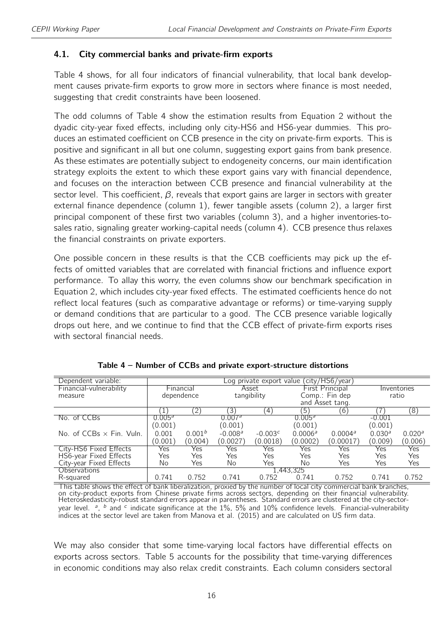#### <span id="page-15-1"></span>4.1. City commercial banks and private-firm exports

Table [4](#page-15-0) shows, for all four indicators of financial vulnerability, that local bank development causes private-firm exports to grow more in sectors where finance is most needed, suggesting that credit constraints have been loosened.

The odd columns of Table [4](#page-15-0) show the estimation results from Equation [2](#page-13-1) without the dyadic city-year fixed effects, including only city-HS6 and HS6-year dummies. This produces an estimated coefficient on CCB presence in the city on private-firm exports. This is positive and significant in all but one column, suggesting export gains from bank presence. As these estimates are potentially subject to endogeneity concerns, our main identification strategy exploits the extent to which these export gains vary with financial dependence, and focuses on the interaction between CCB presence and financial vulnerability at the sector level. This coefficient,  $\beta$ , reveals that export gains are larger in sectors with greater external finance dependence (column 1), fewer tangible assets (column 2), a larger first principal component of these first two variables (column 3), and a higher inventories-tosales ratio, signaling greater working-capital needs (column 4). CCB presence thus relaxes the financial constraints on private exporters.

One possible concern in these results is that the CCB coefficients may pick up the effects of omitted variables that are correlated with financial frictions and influence export performance. To allay this worry, the even columns show our benchmark specification in Equation [2,](#page-13-1) which includes city-year fixed effects. The estimated coefficients hence do not reflect local features (such as comparative advantage or reforms) or time-varying supply or demand conditions that are particular to a good. The CCB presence variable logically drops out here, and we continue to find that the CCB effect of private-firm exports rises with sectoral financial needs.

<span id="page-15-0"></span>

| Dependent variable:             | Log private export value (city/HS6/year) |                    |                    |                  |                    |                        |                    |                    |
|---------------------------------|------------------------------------------|--------------------|--------------------|------------------|--------------------|------------------------|--------------------|--------------------|
| Financial-vulnerability         |                                          | <b>Financial</b>   |                    | Asset            |                    | <b>First Principal</b> | Inventories        |                    |
| measure                         |                                          | dependence         |                    | tangibility      |                    | Comp.: Fin dep         |                    | ratio              |
|                                 |                                          |                    |                    |                  |                    | and Asset tang.        |                    |                    |
|                                 |                                          | $\left( 2\right)$  | '3)                | $\left(4\right)$ | [5]                | (6)                    |                    | ි8)                |
| No. of CCBs                     | 0.005 <sup>a</sup>                       |                    | 0.007 <sup>a</sup> |                  | 0.005 <sup>a</sup> |                        | $-0.001$           |                    |
|                                 | (0.001)                                  |                    | (0.001)            |                  | (0.001)            |                        | (0.001)            |                    |
| No. of $CCBs \times Fin.$ Vuln. | 0.001                                    | 0.001 <sup>b</sup> | $-0.008a$          | $-0.003c$        | $0.0006^a$         | $0.0004^a$             | 0.030 <sup>a</sup> | 0.020 <sup>a</sup> |
|                                 | (0.001)                                  | (0.004)            | (0.0027)           | (0.0018)         | (0.0002)           | (0.00017)              | (0.009)            | (0.006)            |
| City-HS6 Fixed Effects          | Yes                                      | Yes                | Yes                | Yes              | Yes                | Yes                    | Yes                | Yes                |
| HS6-year Fixed Effects          | Yes                                      | Yes                | Yes                | Yes              | Yes                | Yes                    | Yes                | Yes                |
| City-year Fixed Effects         | No                                       | Yes                | No                 | Yes              | No                 | Yes                    | Yes                | Yes                |
| <b>Observations</b>             |                                          |                    |                    |                  | 1,443,325          |                        |                    |                    |
| R-squared                       | 0.741                                    | 0.752              | 0.741              | 0.752            | 0.741              | 0.752                  | 0.741              | 0.752              |

|  |  | Table 4 – Number of CCBs and private export-structure distortions |  |
|--|--|-------------------------------------------------------------------|--|
|  |  |                                                                   |  |

This table shows the effect of bank liberalization, proxied by the number of local city commercial bank branches, on city-product exports from Chinese private firms across sectors, depending on their financial vulnerability. Heteroskedasticity-robust standard errors appear in parentheses. Standard errors are clustered at the city-sectoryear level. <sup>a</sup>, <sup>b</sup> and <sup>c</sup> indicate significance at the 1%, 5% and 10% confidence levels. Financial-vulnerability indices at the sector level are taken from Manova et al. (2015) and are calculated on US firm data.

We may also consider that some time-varying local factors have differential effects on exports across sectors. Table [5](#page-16-0) accounts for the possibility that time-varying differences in economic conditions may also relax credit constraints. Each column considers sectoral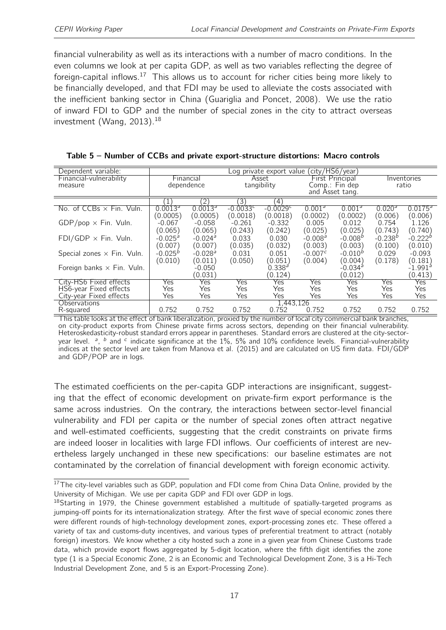financial vulnerability as well as its interactions with a number of macro conditions. In the even columns we look at per capita GDP, as well as two variables reflecting the degree of foreign-capital inflows.<sup>[17](#page-2-0)</sup> This allows us to account for richer cities being more likely to be financially developed, and that FDI may be used to alleviate the costs associated with the inefficient banking sector in China (Guariglia and Poncet, 2008). We use the ratio of inward FDI to GDP and the number of special zones in the city to attract overseas investment (Wang, 2013).<sup>[18](#page-2-0)</sup>

| Dependent variable:               |                       | (city/HS6/year)<br>Log private export value ( |            |                    |                    |                        |                    |                       |  |
|-----------------------------------|-----------------------|-----------------------------------------------|------------|--------------------|--------------------|------------------------|--------------------|-----------------------|--|
| Financial-vulnerability           |                       | <b>Financial</b>                              |            | Asset              |                    | <b>First Principal</b> |                    | Inventories           |  |
| measure                           |                       | dependence                                    |            | tangibility        |                    | Comp.: Fin dep         |                    | ratio                 |  |
|                                   |                       |                                               |            |                    |                    | and Asset tang.        |                    |                       |  |
|                                   | (1)                   | (2)                                           | (3)        | (4)                |                    |                        |                    |                       |  |
| No. of $CCBs \times Fin.$ Vuln.   | 0.0013 <sup>3</sup>   | 0.0013 <sup>4</sup>                           | $-0.0033c$ | $-0.0029c$         | 0.001 <sup>a</sup> | 0.001 <sup>a</sup>     | 0.020 <sup>a</sup> | $0.0175^{a}$          |  |
|                                   | (0.0005)              | (0.0005)                                      | (0.0018)   | (0.0018)           | (0.0002)           | (0.0002)               | (0.006)            | (0.006)               |  |
| $GDP/pop \times Fin.$ Vuln.       | $-0.067$              | $-0.058$                                      | $-0.261$   | $-0.332$           | 0.005              | 0.012                  | 0.754              | 1.126                 |  |
|                                   | (0.065)               | (0.065)                                       | (0.243)    | (0.242)            | (0.025)            | (0.025)                | (0.743)            | (0.740)               |  |
| $FDI/GDP \times Fin.$ Vuln.       | $-0.025$ <sup>a</sup> | $-0.024$ <sup>a</sup>                         | 0.033      | 0.030              | $-0.008a$          | $-0.008b$              | $-0.238^{b}$       | $-0.222b$             |  |
|                                   | (0.007)               | (0.007)                                       | (0.035)    | (0.032)            | (0.003)            | (0.003)                | (0.100)            | (0.010)               |  |
| Special zones $\times$ Fin. Vuln. | $-0.025b$             | $-0.028$ <sup>a</sup>                         | 0.031      | 0.051              | $-0.007c$          | $-0.010^{b}$           | 0.029              | $-0.093$              |  |
|                                   | (0.010)               | (0.011)                                       | (0.050)    | (0.051`            | (0.004)            | (0.004)                | (0.178)            | (0.181)               |  |
| Foreign banks $\times$ Fin. Vuln. |                       | $-0.050$                                      |            | 0.338 <sup>d</sup> |                    | $-0.034$ <sup>a</sup>  |                    | $-1.991$ <sup>a</sup> |  |
|                                   |                       | (0.031)                                       |            | (0.124)            |                    | (0.012)                |                    | (0.413)               |  |
| City-HS6 Fixed effects            | Yes                   | Yes                                           | Yes        | Yes                | Yes                | Yes                    | Yes                | Yes                   |  |
| HS6-year Fixed effects            | Yes                   | Yes                                           | Yes        | Yes                | Yes                | Yes                    | Yes                | Yes                   |  |
| City-year Fixed effects           | Yes                   | Yes                                           | Yes        | Yes                | Yes                | Yes                    | Yes                | Yes                   |  |
| Observations                      |                       |                                               |            | 1,443,126          |                    |                        |                    |                       |  |
| R-sauared                         | 0.752                 | 0.752                                         | 0.752      | 0.752              | 0.752              | 0.752                  | 0.752              | 0.752                 |  |

<span id="page-16-0"></span>

| Table 5 - Number of CCBs and private export-structure distortions: Macro controls |
|-----------------------------------------------------------------------------------|
|-----------------------------------------------------------------------------------|

This table looks at the effect of bank liberalization, proxied by the number of local city commercial bank branches, on city-product exports from Chinese private firms across sectors, depending on their financial vulnerability. Heteroskedasticity-robust standard errors appear in parentheses. Standard errors are clustered at the city-sectoryear level. <sup>a</sup>, <sup>b</sup> and <sup>c</sup> indicate significance at the 1%, 5% and 10% confidence levels. Financial-vulnerability indices at the sector level are taken from Manova et al. (2015) and are calculated on US firm data. FDI/GDP and GDP/POP are in logs.

The estimated coefficients on the per-capita GDP interactions are insignificant, suggesting that the effect of economic development on private-firm export performance is the same across industries. On the contrary, the interactions between sector-level financial vulnerability and FDI per capita or the number of special zones often attract negative and well-estimated coefficients, suggesting that the credit constraints on private firms are indeed looser in localities with large FDI inflows. Our coefficients of interest are nevertheless largely unchanged in these new specifications: our baseline estimates are not contaminated by the correlation of financial development with foreign economic activity.

<sup>&</sup>lt;sup>17</sup>The city-level variables such as GDP, population and FDI come from China Data Online, provided by the University of Michigan. We use per capita GDP and FDI over GDP in logs.

<sup>&</sup>lt;sup>18</sup>Starting in 1979, the Chinese government established a multitude of spatially-targeted programs as jumping-off points for its internationalization strategy. After the first wave of special economic zones there were different rounds of high-technology development zones, export-processing zones etc. These offered a variety of tax and customs-duty incentives, and various types of preferential treatment to attract (notably foreign) investors. We know whether a city hosted such a zone in a given year from Chinese Customs trade data, which provide export flows aggregated by 5-digit location, where the fifth digit identifies the zone type (1 is a Special Economic Zone, 2 is an Economic and Technological Development Zone, 3 is a Hi-Tech Industrial Development Zone, and 5 is an Export-Processing Zone).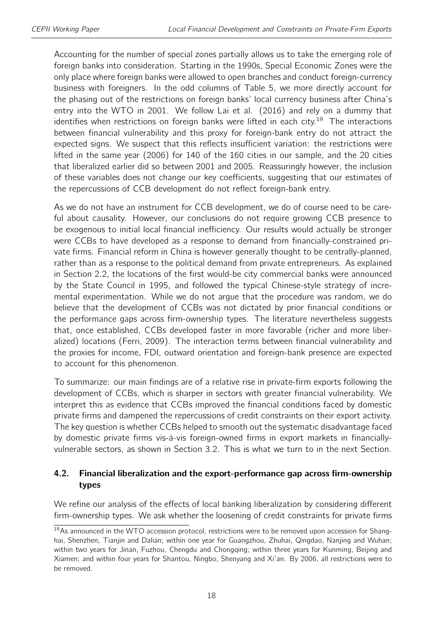Accounting for the number of special zones partially allows us to take the emerging role of foreign banks into consideration. Starting in the 1990s, Special Economic Zones were the only place where foreign banks were allowed to open branches and conduct foreign-currency business with foreigners. In the odd columns of Table [5,](#page-16-0) we more directly account for the phasing out of the restrictions on foreign banks' local currency business after China's entry into the WTO in 2001. We follow Lai et al. (2016) and rely on a dummy that identifies when restrictions on foreign banks were lifted in each city.<sup>[19](#page-2-0)</sup> The interactions between financial vulnerability and this proxy for foreign-bank entry do not attract the expected signs. We suspect that this reflects insufficient variation: the restrictions were lifted in the same year (2006) for 140 of the 160 cities in our sample, and the 20 cities that liberalized earlier did so between 2001 and 2005. Reassuringly however, the inclusion of these variables does not change our key coefficients, suggesting that our estimates of the repercussions of CCB development do not reflect foreign-bank entry.

As we do not have an instrument for CCB development, we do of course need to be careful about causality. However, our conclusions do not require growing CCB presence to be exogenous to initial local financial inefficiency. Our results would actually be stronger were CCBs to have developed as a response to demand from financially-constrained private firms. Financial reform in China is however generally thought to be centrally-planned, rather than as a response to the political demand from private entrepreneurs. As explained in Section [2.2,](#page-6-0) the locations of the first would-be city commercial banks were announced by the State Council in 1995, and followed the typical Chinese-style strategy of incremental experimentation. While we do not argue that the procedure was random, we do believe that the development of CCBs was not dictated by prior financial conditions or the performance gaps across firm-ownership types. The literature nevertheless suggests that, once established, CCBs developed faster in more favorable (richer and more liberalized) locations (Ferri, 2009). The interaction terms between financial vulnerability and the proxies for income, FDI, outward orientation and foreign-bank presence are expected to account for this phenomenon.

To summarize: our main findings are of a relative rise in private-firm exports following the development of CCBs, which is sharper in sectors with greater financial vulnerability. We interpret this as evidence that CCBs improved the financial conditions faced by domestic private firms and dampened the repercussions of credit constraints on their export activity. The key question is whether CCBs helped to smooth out the systematic disadvantage faced by domestic private firms vis-à-vis foreign-owned firms in export markets in financiallyvulnerable sectors, as shown in Section [3.2.](#page-11-1) This is what we turn to in the next Section.

#### 4.2. Financial liberalization and the export-performance gap across firm-ownership types

We refine our analysis of the effects of local banking liberalization by considering different firm-ownership types. We ask whether the loosening of credit constraints for private firms

<sup>&</sup>lt;sup>19</sup>As announced in the WTO accession protocol, restrictions were to be removed upon accession for Shanghai, Shenzhen, Tianjin and Dalian; within one year for Guangzhou, Zhuhai, Qingdao, Nanjing and Wuhan; within two years for Jinan, Fuzhou, Chengdu and Chongqing; within three years for Kunming, Beijing and Xiamen; and within four years for Shantou, Ningbo, Shenyang and Xi'an. By 2006, all restrictions were to be removed.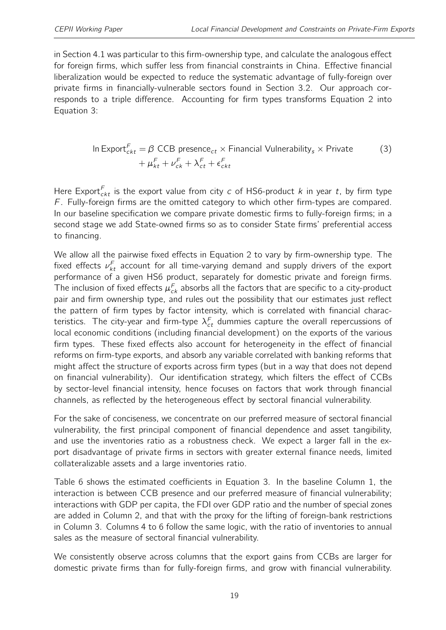in Section [4.1](#page-15-1) was particular to this firm-ownership type, and calculate the analogous effect for foreign firms, which suffer less from financial constraints in China. Effective financial liberalization would be expected to reduce the systematic advantage of fully-foreign over private firms in financially-vulnerable sectors found in Section [3.2.](#page-11-1) Our approach corresponds to a triple difference. Accounting for firm types transforms Equation [2](#page-13-1) into Equation [3:](#page-18-0)

<span id="page-18-0"></span>In Export<sub>ckt</sub><sup>F</sup> = 
$$
\beta
$$
 CCB presence<sub>ct</sub> × Financial Vulnerability<sub>s</sub> × Private  
+  $\mu_{kt}^F + \nu_{ck}^F + \lambda_{ct}^F + \epsilon_{ckt}^F$  (3)

Here Export $\mathcal{F}_{ckt}$  is the export value from city c of HS6-product k in year t, by firm type  $F$ . Fully-foreign firms are the omitted category to which other firm-types are compared. In our baseline specification we compare private domestic firms to fully-foreign firms; in a second stage we add State-owned firms so as to consider State firms' preferential access to financing.

We allow all the pairwise fixed effects in Equation [2](#page-13-1) to vary by firm-ownership type. The fixed effects  $\nu_{kt}^{F}$  account for all time-varying demand and supply drivers of the export performance of a given HS6 product, separately for domestic private and foreign firms. The inclusion of fixed effects  $\mu_{ck}^{F}$  absorbs all the factors that are specific to a city-product pair and firm ownership type, and rules out the possibility that our estimates just reflect the pattern of firm types by factor intensity, which is correlated with financial characteristics. The city-year and firm-type  $\lambda_{ct}^F$  dummies capture the overall repercussions of local economic conditions (including financial development) on the exports of the various firm types. These fixed effects also account for heterogeneity in the effect of financial reforms on firm-type exports, and absorb any variable correlated with banking reforms that might affect the structure of exports across firm types (but in a way that does not depend on financial vulnerability). Our identification strategy, which filters the effect of CCBs by sector-level financial intensity, hence focuses on factors that work through financial channels, as reflected by the heterogeneous effect by sectoral financial vulnerability.

For the sake of conciseness, we concentrate on our preferred measure of sectoral financial vulnerability, the first principal component of financial dependence and asset tangibility, and use the inventories ratio as a robustness check. We expect a larger fall in the export disadvantage of private firms in sectors with greater external finance needs, limited collateralizable assets and a large inventories ratio.

Table [6](#page-19-0) shows the estimated coefficients in Equation [3.](#page-18-0) In the baseline Column 1, the interaction is between CCB presence and our preferred measure of financial vulnerability; interactions with GDP per capita, the FDI over GDP ratio and the number of special zones are added in Column 2, and that with the proxy for the lifting of foreign-bank restrictions in Column 3. Columns 4 to 6 follow the same logic, with the ratio of inventories to annual sales as the measure of sectoral financial vulnerability.

We consistently observe across columns that the export gains from CCBs are larger for domestic private firms than for fully-foreign firms, and grow with financial vulnerability.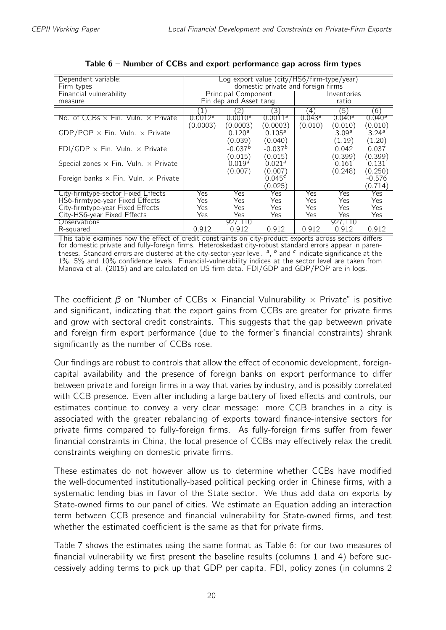<span id="page-19-0"></span>

| Dependent variable:                                |                                    | Log export value (city/HS6/firm-type/year) |                     |                    |                    |                    |  |  |
|----------------------------------------------------|------------------------------------|--------------------------------------------|---------------------|--------------------|--------------------|--------------------|--|--|
| Firm types                                         | domestic private and foreign firms |                                            |                     |                    |                    |                    |  |  |
| Financial vulnerability                            |                                    | Principal Component                        |                     |                    | Inventories        |                    |  |  |
| measure                                            |                                    | Fin dep and Asset tang.                    |                     | ratio              |                    |                    |  |  |
|                                                    |                                    | $\left(2\right)$                           | (3)                 | $\left( 4\right)$  | '5)                | (6)                |  |  |
| No. of CCBs $\times$ Fin. Vuln. $\times$ Private   | 0.0012 <sup>3</sup>                | 0.0010 <sup>3</sup>                        | 0.0011 <sup>3</sup> | 0.043 <sup>a</sup> | 0.040 <sup>3</sup> | 0.040 <sup>a</sup> |  |  |
|                                                    | (0.0003)                           | (0.0003)                                   | (0.0003)            | (0.010)            | (0.010)            | (0.010)            |  |  |
| GDP/POP $\times$ Fin. Vuln. $\times$ Private       |                                    | 0.120 <sup>a</sup>                         | 0.105 <sup>a</sup>  |                    | 3.09 <sup>a</sup>  | 3.24 <sup>a</sup>  |  |  |
|                                                    |                                    | (0.039)                                    | (0.040)             |                    | (1.19)             | (1.20)             |  |  |
| FDI/GDP $\times$ Fin. Vuln. $\times$ Private       |                                    | $-0.037b$                                  | $-0.037b$           |                    | 0.042              | 0.037              |  |  |
|                                                    |                                    | (0.015)                                    | (0.015)             |                    | (0.399)            | (0.399)            |  |  |
| Special zones $\times$ Fin. Vuln. $\times$ Private |                                    | $0.019^{a}$                                | 0.021 <sup>a</sup>  |                    | 0.161              | 0.131              |  |  |
|                                                    |                                    | (0.007)                                    | (0.007)             |                    | (0.248)            | (0.250)            |  |  |
| Foreign banks $\times$ Fin. Vuln. $\times$ Private |                                    |                                            | $0.045^{c}$         |                    |                    | $-0.576$           |  |  |
|                                                    |                                    |                                            | (0.025)             |                    |                    | (0.714)            |  |  |
| City-firmtype-sector Fixed Effects                 | Yes                                | Yes.                                       | Yes                 | Yes                | Yes                | Yes                |  |  |
| HS6-firmtype-year Fixed Effects                    | Yes                                | Yes                                        | Yes                 | Yes                | Yes                | Yes                |  |  |
| City-firmtype-year Fixed Effects                   | Yes                                | Yes                                        | Yes                 | Yes                | Yes                | Yes                |  |  |
| City-HS6-year Fixed Effects                        | Yes                                | Yes                                        | Yes                 | Yes                | Yes                | Yes                |  |  |
| Observations                                       |                                    | 927.110                                    |                     |                    | 927.110            |                    |  |  |
| R-squared                                          | 0.912                              | 0.912                                      | 0.912               | 0.912              | 0.912              | 0.912              |  |  |

| Table 6 – Number of CCBs and export performance gap across firm types |  |  |  |
|-----------------------------------------------------------------------|--|--|--|
|-----------------------------------------------------------------------|--|--|--|

This table examines how the effect of credit constraints on city-product exports across sectors differs for domestic private and fully-foreign firms. Heteroskedasticity-robust standard errors appear in parentheses. Standard errors are clustered at the city-sector-year level.  $a$ ,  $b$  and  $c$  indicate significance at the 1%, 5% and 10% confidence levels. Financial-vulnerability indices at the sector level are taken from Manova et al. (2015) and are calculated on US firm data. FDI/GDP and GDP/POP are in logs.

The coefficient  $\beta$  on "Number of CCBs  $\times$  Financial Vulnurability  $\times$  Private" is positive and significant, indicating that the export gains from CCBs are greater for private firms and grow with sectoral credit constraints. This suggests that the gap betweewn private and foreign firm export performance (due to the former's financial constraints) shrank significantly as the number of CCBs rose.

Our findings are robust to controls that allow the effect of economic development, foreigncapital availability and the presence of foreign banks on export performance to differ between private and foreign firms in a way that varies by industry, and is possibly correlated with CCB presence. Even after including a large battery of fixed effects and controls, our estimates continue to convey a very clear message: more CCB branches in a city is associated with the greater rebalancing of exports toward finance-intensive sectors for private firms compared to fully-foreign firms. As fully-foreign firms suffer from fewer financial constraints in China, the local presence of CCBs may effectively relax the credit constraints weighing on domestic private firms.

These estimates do not however allow us to determine whether CCBs have modified the well-documented institutionally-based political pecking order in Chinese firms, with a systematic lending bias in favor of the State sector. We thus add data on exports by State-owned firms to our panel of cities. We estimate an Equation adding an interaction term between CCB presence and financial vulnerability for State-owned firms, and test whether the estimated coefficient is the same as that for private firms.

Table [7](#page-20-0) shows the estimates using the same format as Table [6:](#page-19-0) for our two measures of financial vulnerability we first present the baseline results (columns 1 and 4) before successively adding terms to pick up that GDP per capita, FDI, policy zones (in columns 2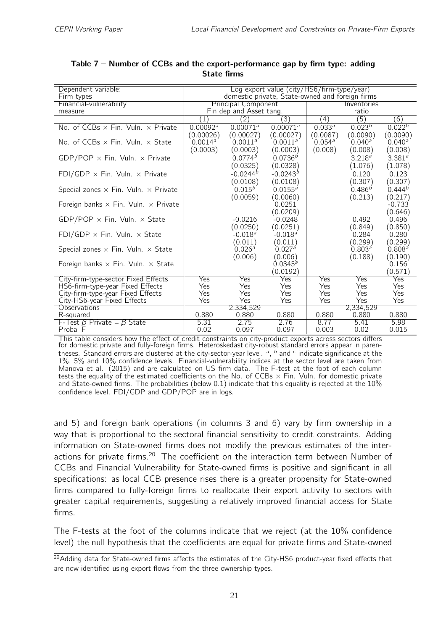| Dependent variable:<br>Firm types                  | Log export value (city/HS6/firm-type/year)<br>domestic private, State-owned and foreign firms |                                   |                                 |                            |                               |                               |  |
|----------------------------------------------------|-----------------------------------------------------------------------------------------------|-----------------------------------|---------------------------------|----------------------------|-------------------------------|-------------------------------|--|
| Financial-vulnerability                            |                                                                                               | <b>Principal Component</b>        |                                 | Inventories                |                               |                               |  |
| measure                                            |                                                                                               | Fin dep and Asset tang.           |                                 |                            | ratio                         |                               |  |
|                                                    | $\mathbf{1}$                                                                                  | $^{(2)}$                          | (3)                             | (4)                        | (5)                           | (6)                           |  |
| No. of CCBs $\times$ Fin. Vuln. $\times$ Private   | 0.00092 <sup>a</sup><br>(0.00026)                                                             | 0.00071 <sup>a</sup><br>(0.00027) | $0.00071^a$<br>(0.00027)        | $0.033^{a}$<br>(0.0087)    | $0.023^{b}$<br>(0.0090)       | $0.022^{b}$<br>(0.0090)       |  |
| No. of CCBs $\times$ Fin. Vuln. $\times$ State     | $0.0014^a$<br>(0.0003)                                                                        | 0.0011 <sup>a</sup><br>(0.0003)   | 0.0011 <sup>a</sup><br>(0.0003) | $0.054^{\circ}$<br>(0.008) | $0.040^{\circ}$<br>(0.008)    | $0.040^{\circ}$<br>(0.008)    |  |
| GDP/POP $\times$ Fin. Vuln. $\times$ Private       |                                                                                               | $0.0774^{b}$<br>(0.0325)          | 0.0736 <sup>b</sup><br>(0.0328) |                            | 3.218 <sup>a</sup><br>(1.076) | 3.381 <sup>a</sup><br>(1.078) |  |
| FDI/GDP $\times$ Fin. Vuln. $\times$ Private       |                                                                                               | $-0.0244^{b}$<br>(0.0108)         | $-0.0243^{b}$<br>(0.0108)       |                            | 0.120<br>(0.307)              | 0.123<br>(0.307)              |  |
| Special zones $\times$ Fin. Vuln. $\times$ Private |                                                                                               | $0.015^{b}$<br>(0.0059)           | $0.0155^a$<br>(0.0060)          |                            | $0.486^{b}$<br>(0.213)        | $0.444^{b}$<br>(0.217)        |  |
| Foreign banks $\times$ Fin. Vuln. $\times$ Private |                                                                                               |                                   | 0.0251<br>(0.0209)              |                            |                               | $-0.733$<br>(0.646)           |  |
| GDP/POP $\times$ Fin. Vuln. $\times$ State         |                                                                                               | $-0.0216$<br>(0.0250)             | $-0.0248$<br>(0.0251)           |                            | 0.492<br>(0.849)              | 0.496<br>(0.850)              |  |
| FDI/GDP $\times$ Fin. Vuln. $\times$ State         |                                                                                               | $-0.018a$<br>(0.011)              | $-0.018a$<br>(0.011)            |                            | 0.284<br>(0.299)              | 0.280<br>(0.299)              |  |
| Special zones $\times$ Fin. Vuln. $\times$ State   |                                                                                               | 0.026 <sup>a</sup><br>(0.006)     | 0.027 <sup>a</sup><br>(0.006)   |                            | 0.803 <sup>a</sup><br>(0.188) | 0.808 <sup>a</sup><br>(0.190) |  |
| Foreign banks $\times$ Fin. Vuln. $\times$ State   |                                                                                               |                                   | $0.0345^{4}$<br>(0.0192)        |                            |                               | 0.156<br>(0.571)              |  |
| City-firm-type-sector Fixed Effects                | Yes                                                                                           | Yes                               | Yes                             | Yes                        | Yes                           | Yes                           |  |
| HS6-firm-type-year Fixed Effects                   | Yes                                                                                           | Yes                               | Yes                             | Yes                        | Yes                           | Yes                           |  |
| City-firm-type-year Fixed Effects                  | Yes                                                                                           | Yes                               | Yes                             | Yes                        | Yes                           | Yes                           |  |
| City-HS6-year Fixed Effects                        | Yes                                                                                           | <b>Yes</b>                        | Yes                             | Yes                        | Yes                           | Yes                           |  |
| <b>Observations</b>                                |                                                                                               | 2,334,529                         |                                 |                            | 2,334,529                     |                               |  |
| R-squared                                          | 0.880                                                                                         | 0.880                             | 0.880                           | 0.880                      | 0.880                         | 0.880                         |  |
| F-Test $\beta$ Private = $\beta$ State             | 5.31                                                                                          | 2.75                              | 2.76                            | 8.77                       | 5.41                          | 5.98                          |  |
| Proba F                                            | 0.02                                                                                          | 0.097                             | 0.097                           | 0.003                      | 0.02                          | 0.015                         |  |

<span id="page-20-0"></span>Table 7 – Number of CCBs and the export-performance gap by firm type: adding State firms

This table considers how the effect of credit constraints on city-product exports across sectors differs for domestic private and fully-foreign firms. Heteroskedasticity-robust standard errors appear in parentheses. Standard errors are clustered at the city-sector-year level.  $a$ ,  $b$  and  $c$  indicate significance at the 1%, 5% and 10% confidence levels. Financial-vulnerability indices at the sector level are taken from Manova et al. (2015) and are calculated on US firm data. The F-test at the foot of each column tests the equality of the estimated coefficients on the No. of CCBs  $\times$  Fin. Vuln. for domestic private and State-owned firms. The probabilities (below 0.1) indicate that this equality is rejected at the 10% confidence level. FDI/GDP and GDP/POP are in logs.

and 5) and foreign bank operations (in columns 3 and 6) vary by firm ownership in a way that is proportional to the sectoral financial sensitivity to credit constraints. Adding information on State-owned firms does not modify the previous estimates of the inter-actions for private firms.<sup>[20](#page-2-0)</sup> The coefficient on the interaction term between Number of CCBs and Financial Vulnerability for State-owned firms is positive and significant in all specifications: as local CCB presence rises there is a greater propensity for State-owned firms compared to fully-foreign firms to reallocate their export activity to sectors with greater capital requirements, suggesting a relatively improved financial access for State firms.

The F-tests at the foot of the columns indicate that we reject (at the 10% confidence level) the null hypothesis that the coefficients are equal for private firms and State-owned

<sup>&</sup>lt;sup>20</sup>Adding data for State-owned firms affects the estimates of the City-HS6 product-year fixed effects that are now identified using export flows from the three ownership types.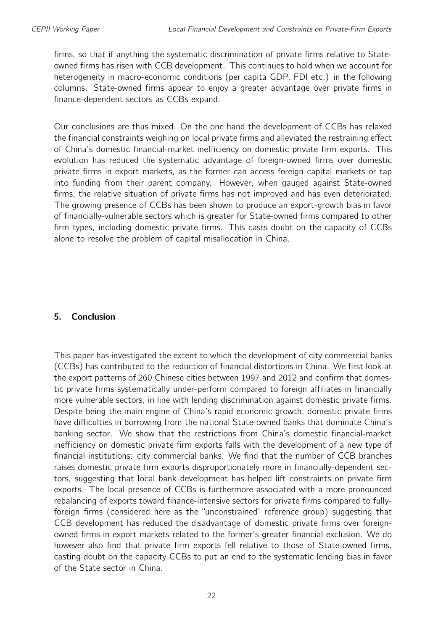firms, so that if anything the systematic discrimination of private firms relative to Stateowned firms has risen with CCB development. This continues to hold when we account for heterogeneity in macro-economic conditions (per capita GDP, FDI etc.) in the following columns. State-owned firms appear to enjoy a greater advantage over private firms in finance-dependent sectors as CCBs expand.

Our conclusions are thus mixed. On the one hand the development of CCBs has relaxed the financial constraints weighing on local private firms and alleviated the restraining effect of China's domestic financial-market inefficiency on domestic private firm exports. This evolution has reduced the systematic advantage of foreign-owned firms over domestic private firms in export markets, as the former can access foreign capital markets or tap into funding from their parent company. However, when gauged against State-owned firms, the relative situation of private firms has not improved and has even deteriorated. The growing presence of CCBs has been shown to produce an export-growth bias in favor of financially-vulnerable sectors which is greater for State-owned firms compared to other firm types, including domestic private firms. This casts doubt on the capacity of CCBs alone to resolve the problem of capital misallocation in China.

#### 5. Conclusion

This paper has investigated the extent to which the development of city commercial banks (CCBs) has contributed to the reduction of financial distortions in China. We first look at the export patterns of 260 Chinese cities between 1997 and 2012 and confirm that domestic private firms systematically under-perform compared to foreign affiliates in financially more vulnerable sectors, in line with lending discrimination against domestic private firms. Despite being the main engine of China's rapid economic growth, domestic private firms have difficulties in borrowing from the national State-owned banks that dominate China's banking sector. We show that the restrictions from China's domestic financial-market inefficiency on domestic private firm exports falls with the development of a new type of financial institutions: city commercial banks. We find that the number of CCB branches raises domestic private firm exports disproportionately more in financially-dependent sectors, suggesting that local bank development has helped lift constraints on private firm exports. The local presence of CCBs is furthermore associated with a more pronounced rebalancing of exports toward finance-intensive sectors for private firms compared to fullyforeign firms (considered here as the "unconstrained' reference group) suggesting that CCB development has reduced the disadvantage of domestic private firms over foreignowned firms in export markets related to the former's greater financial exclusion. We do however also find that private firm exports fell relative to those of State-owned firms, casting doubt on the capacity CCBs to put an end to the systematic lending bias in favor of the State sector in China.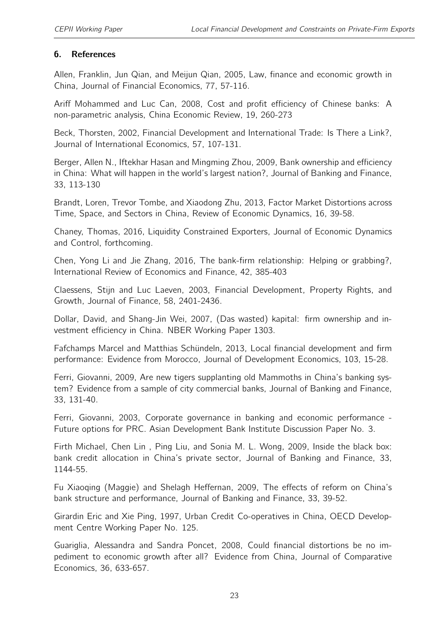#### 6. References

Allen, Franklin, Jun Qian, and Meijun Qian, 2005, Law, finance and economic growth in China, Journal of Financial Economics, 77, 57-116.

Ariff Mohammed and Luc Can, 2008, Cost and profit efficiency of Chinese banks: A non-parametric analysis, China Economic Review, 19, 260-273

Beck, Thorsten, 2002, Financial Development and International Trade: Is There a Link?, Journal of International Economics, 57, 107-131.

Berger, Allen N., Iftekhar Hasan and Mingming Zhou, 2009, Bank ownership and efficiency in China: What will happen in the world's largest nation?, Journal of Banking and Finance, 33, 113-130

Brandt, Loren, Trevor Tombe, and Xiaodong Zhu, 2013, Factor Market Distortions across Time, Space, and Sectors in China, Review of Economic Dynamics, 16, 39-58.

Chaney, Thomas, 2016, Liquidity Constrained Exporters, Journal of Economic Dynamics and Control, forthcoming.

Chen, Yong Li and Jie Zhang, 2016, The bank-firm relationship: Helping or grabbing?, International Review of Economics and Finance, 42, 385-403

Claessens, Stijn and Luc Laeven, 2003, Financial Development, Property Rights, and Growth, Journal of Finance, 58, 2401-2436.

Dollar, David, and Shang-Jin Wei, 2007, (Das wasted) kapital: firm ownership and investment efficiency in China. NBER Working Paper 1303.

Fafchamps Marcel and Matthias Schündeln, 2013, Local financial development and firm performance: Evidence from Morocco, Journal of Development Economics, 103, 15-28.

Ferri, Giovanni, 2009, Are new tigers supplanting old Mammoths in China's banking system? Evidence from a sample of city commercial banks, Journal of Banking and Finance, 33, 131-40.

Ferri, Giovanni, 2003, Corporate governance in banking and economic performance - Future options for PRC. Asian Development Bank Institute Discussion Paper No. 3.

Firth Michael, Chen Lin , Ping Liu, and Sonia M. L. Wong, 2009, Inside the black box: bank credit allocation in China's private sector, Journal of Banking and Finance, 33, 1144-55.

Fu Xiaoqing (Maggie) and Shelagh Heffernan, 2009, The effects of reform on China's bank structure and performance, Journal of Banking and Finance, 33, 39-52.

Girardin Eric and Xie Ping, 1997, Urban Credit Co-operatives in China, OECD Development Centre Working Paper No. 125.

Guariglia, Alessandra and Sandra Poncet, 2008, Could financial distortions be no impediment to economic growth after all? Evidence from China, Journal of Comparative Economics, 36, 633-657.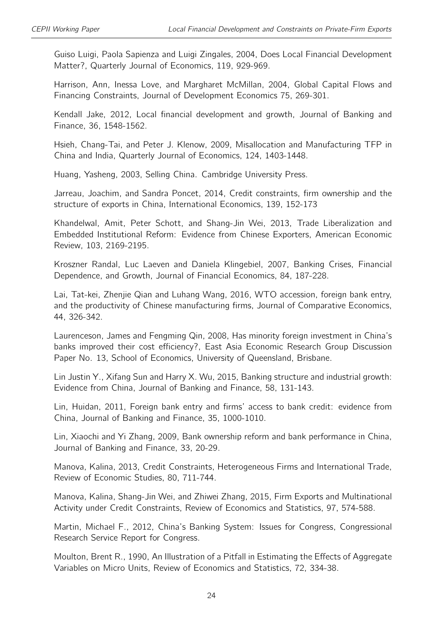Guiso Luigi, Paola Sapienza and Luigi Zingales, 2004, Does Local Financial Development Matter?, Quarterly Journal of Economics, 119, 929-969.

Harrison, Ann, Inessa Love, and Margharet McMillan, 2004, Global Capital Flows and Financing Constraints, Journal of Development Economics 75, 269-301.

Kendall Jake, 2012, Local financial development and growth, Journal of Banking and Finance, 36, 1548-1562.

Hsieh, Chang-Tai, and Peter J. Klenow, 2009, Misallocation and Manufacturing TFP in China and India, Quarterly Journal of Economics, 124, 1403-1448.

Huang, Yasheng, 2003, Selling China. Cambridge University Press.

Jarreau, Joachim, and Sandra Poncet, 2014, Credit constraints, firm ownership and the structure of exports in China, International Economics, 139, 152-173

Khandelwal, Amit, Peter Schott, and Shang-Jin Wei, 2013, Trade Liberalization and Embedded Institutional Reform: Evidence from Chinese Exporters, American Economic Review, 103, 2169-2195.

Kroszner Randal, Luc Laeven and Daniela Klingebiel, 2007, Banking Crises, Financial Dependence, and Growth, Journal of Financial Economics, 84, 187-228.

Lai, Tat-kei, Zhenjie Qian and Luhang Wang, 2016, WTO accession, foreign bank entry, and the productivity of Chinese manufacturing firms, Journal of Comparative Economics, 44, 326-342.

Laurenceson, James and Fengming Qin, 2008, Has minority foreign investment in China's banks improved their cost efficiency?, East Asia Economic Research Group Discussion Paper No. 13, School of Economics, University of Queensland, Brisbane.

Lin Justin Y., Xifang Sun and Harry X. Wu, 2015, Banking structure and industrial growth: Evidence from China, Journal of Banking and Finance, 58, 131-143.

Lin, Huidan, 2011, Foreign bank entry and firms' access to bank credit: evidence from China, Journal of Banking and Finance, 35, 1000-1010.

Lin, Xiaochi and Yi Zhang, 2009, Bank ownership reform and bank performance in China, Journal of Banking and Finance, 33, 20-29.

Manova, Kalina, 2013, Credit Constraints, Heterogeneous Firms and International Trade, Review of Economic Studies, 80, 711-744.

Manova, Kalina, Shang-Jin Wei, and Zhiwei Zhang, 2015, Firm Exports and Multinational Activity under Credit Constraints, Review of Economics and Statistics, 97, 574-588.

Martin, Michael F., 2012, China's Banking System: Issues for Congress, Congressional Research Service Report for Congress.

Moulton, Brent R., 1990, An Illustration of a Pitfall in Estimating the Effects of Aggregate Variables on Micro Units, Review of Economics and Statistics, 72, 334-38.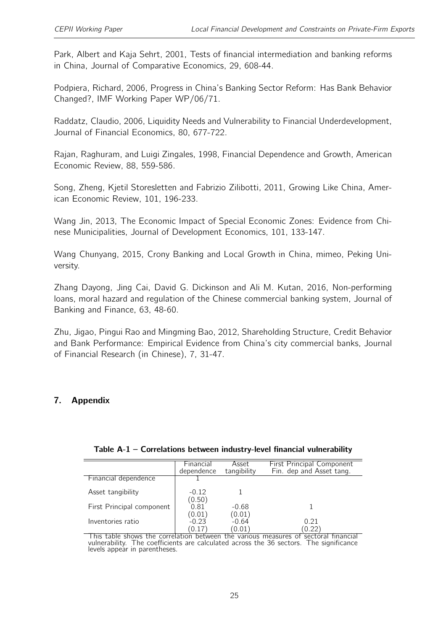Park, Albert and Kaja Sehrt, 2001, Tests of financial intermediation and banking reforms in China, Journal of Comparative Economics, 29, 608-44.

Podpiera, Richard, 2006, Progress in China's Banking Sector Reform: Has Bank Behavior Changed?, IMF Working Paper WP/06/71.

Raddatz, Claudio, 2006, Liquidity Needs and Vulnerability to Financial Underdevelopment, Journal of Financial Economics, 80, 677-722.

Rajan, Raghuram, and Luigi Zingales, 1998, Financial Dependence and Growth, American Economic Review, 88, 559-586.

Song, Zheng, Kjetil Storesletten and Fabrizio Zilibotti, 2011, Growing Like China, American Economic Review, 101, 196-233.

Wang Jin, 2013, The Economic Impact of Special Economic Zones: Evidence from Chinese Municipalities, Journal of Development Economics, 101, 133-147.

Wang Chunyang, 2015, Crony Banking and Local Growth in China, mimeo, Peking University.

Zhang Dayong, Jing Cai, David G. Dickinson and Ali M. Kutan, 2016, Non-performing loans, moral hazard and regulation of the Chinese commercial banking system, Journal of Banking and Finance, 63, 48-60.

Zhu, Jigao, Pingui Rao and Mingming Bao, 2012, Shareholding Structure, Credit Behavior and Bank Performance: Empirical Evidence from China's city commercial banks, Journal of Financial Research (in Chinese), 7, 31-47.

## <span id="page-24-0"></span>7. Appendix

|                           | <b>Financial</b><br>dependence | Asset<br>tangibility        | <b>First Principal Component</b><br>Fin. dep and Asset tang. |
|---------------------------|--------------------------------|-----------------------------|--------------------------------------------------------------|
| Financial dependence      |                                |                             |                                                              |
| Asset tangibility         | $-0.12$<br>(0.50)              |                             |                                                              |
| First Principal component | 0.81                           | $-0.68$                     |                                                              |
| Inventories ratio         | (0.01)<br>$-0.23$<br>(0.17)    | (0.01)<br>$-0.64$<br>(0.01) | 0.21<br>0.22                                                 |

#### Table A-1 – Correlations between industry-level financial vulnerability

This table shows the correlation between the various measures of sectoral financial vulnerability. The coefficients are calculated across the 36 sectors. The significance levels appear in parentheses.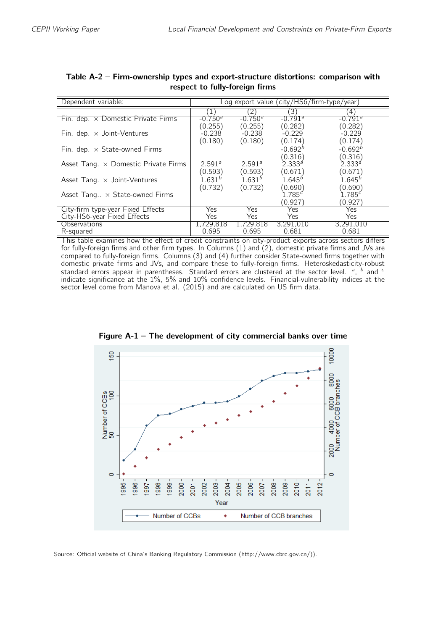| Dependent variable:                         | Log export value (city/HS6/firm-type/year) |                    |                       |                       |
|---------------------------------------------|--------------------------------------------|--------------------|-----------------------|-----------------------|
|                                             |                                            |                    | '3)                   | 4                     |
| Fin. dep. $\times$ Domestic Private Firms   | $-0.7503$                                  | $-0.750a$          | $-0.791$ <sup>a</sup> | $-0.791$ <sup>a</sup> |
|                                             | (0.255)                                    | (0.255)            | (0.282)               | (0.282)               |
| Fin. dep. $\times$ Joint-Ventures           | $-0.238$                                   | $-0.238$           | $-0.229$              | $-0.229$              |
|                                             | (0.180)                                    | (0.180)            | (0.174)               | (0.174)               |
| Fin. dep. $\times$ State-owned Firms        |                                            |                    | $-0.692b$             | $-0.692b$             |
|                                             |                                            |                    | (0.316)               | (0.316)               |
| Asset Tang. $\times$ Domestic Private Firms | 2.591 <sup>a</sup>                         | 2.591 <sup>a</sup> | $2.333^{a}$           | $2.333^{a}$           |
|                                             | (0.593)                                    | (0.593)            | (0.671)               | (0.671)               |
| Asset Tang. x Joint-Ventures                | $1.631^{b}$                                | 1.631 <sup>b</sup> | $1.645^{b}$           | $1.645^{b}$           |
|                                             | (0.732)                                    | (0.732)            | (0.690)               | (0.690)               |
| Asset Tang $\times$ State-owned Firms       |                                            |                    | 1.785c                | 1.785 <sup>c</sup>    |
|                                             |                                            |                    | (0.927)               | (0.927)               |
| City-firm type-year Fixed Effects           | Yes                                        | Yes.               | Yes                   | Yes                   |
| City-HS6-year Fixed Effects                 | Yes.                                       | Yes                | Yes                   | Yes                   |
| Observations                                | 1,729,818                                  | 1,729,818          | 3,291,010             | 3,291,010             |
| R-squared                                   | 0.695                                      | 0.695              | 0.681                 | 0.681                 |

| Table A-2 – Firm-ownership types and export-structure distortions: comparison with |  |
|------------------------------------------------------------------------------------|--|
| respect to fully-foreign firms                                                     |  |

This table examines how the effect of credit constraints on city-product exports across sectors differs for fully-foreign firms and other firm types. In Columns (1) and (2), domestic private firms and JVs are compared to fully-foreign firms. Columns (3) and (4) further consider State-owned firms together with domestic private firms and JVs, and compare these to fully-foreign firms. Heteroskedasticity-robust standard errors appear in parentheses. Standard errors are clustered at the sector level.  $a, b$  and  $c$ indicate significance at the 1%, 5% and 10% confidence levels. Financial-vulnerability indices at the sector level come from Manova et al. (2015) and are calculated on US firm data.

<span id="page-25-0"></span>

Figure A-1 – The development of city commercial banks over time

Source: Official website of China's Banking Regulatory Commission (http://www.cbrc.gov.cn/)).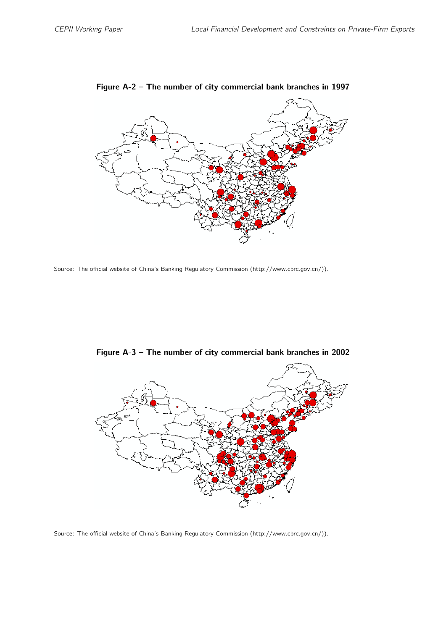<span id="page-26-0"></span>

Figure A-2 – The number of city commercial bank branches in 1997

Source: The official website of China's Banking Regulatory Commission (http://www.cbrc.gov.cn/)).



Figure A-3 – The number of city commercial bank branches in 2002

Source: The official website of China's Banking Regulatory Commission (http://www.cbrc.gov.cn/)).